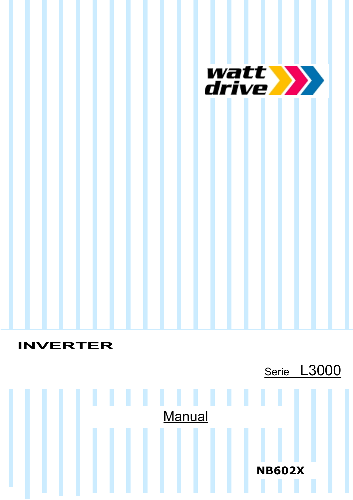

# **INVERTER**

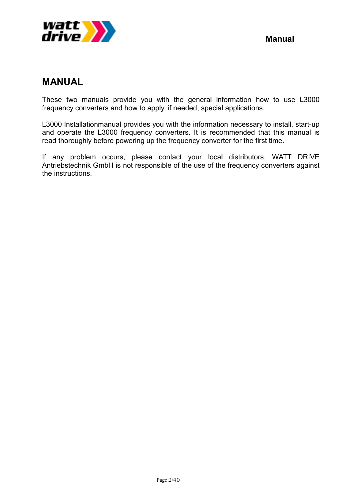

## **MANUAL**

These two manuals provide you with the general information how to use L3000 frequency converters and how to apply, if needed, special applications.

L3000 Installationmanual provides you with the information necessary to install, start-up and operate the L3000 frequency converters. It is recommended that this manual is read thoroughly before powering up the frequency converter for the first time.

If any problem occurs, please contact your local distributors. WATT DRIVE Antriebstechnik GmbH is not responsible of the use of the frequency converters against the instructions.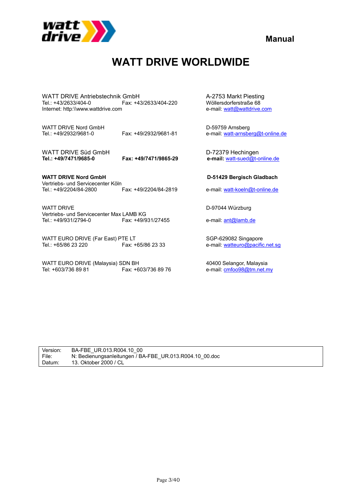

**Manual**

# **WATT DRIVE WORLDWIDE**

WATT DRIVE Antriebstechnik GmbH<br>Tel.: +43/2633/404-0 Fax: +43/2633/404-220 Wöllersdorferstraße 68 Internet: http:\\www.wattdrive.com

WATT DRIVE Nord GmbH<br>
Tel.: +49/2932/9681-0 Fax: +49/2932/9681-81 e-mail: watt-arnsbe

WATT DRIVE Süd GmbH<br>
Tel.: +49/7471/9685-0 Fax: +49/7471/9865-29 e-mail: watt-sued@t-o

**WATT DRIVE Nord GmbH D-51429 Bergisch Gladbach** Vertriebs- und Servicecenter Köln<br>Tel.: +49/2204/84-2800 Fax: +49/2204/84-2819

WATT DRIVE D-97044 Würzburg Vertriebs- und Servicecenter Max LAMB KG<br>Tel.: +49/931/2794-0<br>Fax: +49/931/27455

WATT EURO DRIVE (Far East) PTE LT<br>Tel.: +65/86 23 220 Fax: +65/86 23 33 e-mail: watteuro@pacific

WATT EURO DRIVE (Malaysia) SDN BH 40400 Selangor, Malaysia<br>Tel: +603/736 89 81 40400 Fax: +603/736 89 76 4 ani: cmfoo98@tm.net.n

Tax: +43/2633/404-220 Wöllersdorferstraße 68<br>1 e-mail: watt@wattdrive.com

e-mail: watt-arnsberg@t-online.de

**Tel.: +49/7471/9685-0 Fax: +49/7471/9865-29 e-mail:** watt-sued@t-online.de

e-mail: watt-koeln@t-online.de

e-mail: ant@lamb.de

e-mail: watteuro@pacific.net.sg

e-mail: **cmfoo98@tm.net.my** 

| Version: | BA-FBE UR.013.R004.10 00                                |
|----------|---------------------------------------------------------|
| l File:  | N: Bedienungsanleitungen / BA-FBE UR.013.R004.10 00.doc |
| Datum:   | 13. Oktober 2000 / CL                                   |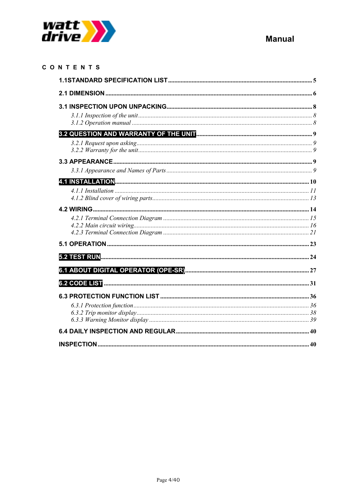

| CONTENTS |  |
|----------|--|
|          |  |
|          |  |
|          |  |
|          |  |
|          |  |
|          |  |
|          |  |
|          |  |
|          |  |
|          |  |
|          |  |
|          |  |
|          |  |
|          |  |
|          |  |
|          |  |
|          |  |
|          |  |
|          |  |
|          |  |
|          |  |
|          |  |
|          |  |
|          |  |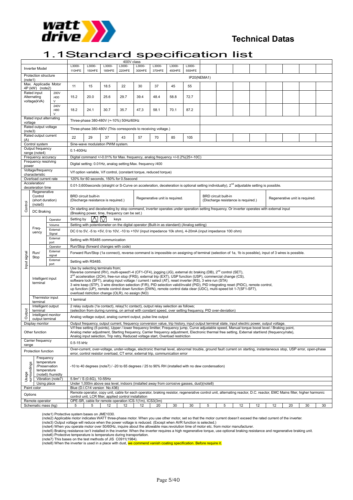

### **Technical Datas**

### 1.1Standard specification list

|                                 |                                                          |                      |                                                                                                                                                                                                    | 400V class                                                                                                                                                                                                                                                                                                                                                                                                                                                                                                                                                                                                                                                                                                                |                                                                                                   |                  |                  |                  |                                |                  |   |                      |                                     |    |    |    |                                |    |
|---------------------------------|----------------------------------------------------------|----------------------|----------------------------------------------------------------------------------------------------------------------------------------------------------------------------------------------------|---------------------------------------------------------------------------------------------------------------------------------------------------------------------------------------------------------------------------------------------------------------------------------------------------------------------------------------------------------------------------------------------------------------------------------------------------------------------------------------------------------------------------------------------------------------------------------------------------------------------------------------------------------------------------------------------------------------------------|---------------------------------------------------------------------------------------------------|------------------|------------------|------------------|--------------------------------|------------------|---|----------------------|-------------------------------------|----|----|----|--------------------------------|----|
|                                 | <b>Inverter Model</b>                                    |                      | L3000-<br>110HFE                                                                                                                                                                                   | L3000-<br>150HFE                                                                                                                                                                                                                                                                                                                                                                                                                                                                                                                                                                                                                                                                                                          | L3000-<br>185HFE                                                                                  | L3000-<br>220HFE | L3000-<br>300HFE | L3000-<br>370HFE | L3000-<br>450HFE               | L3000-<br>550HFE |   |                      |                                     |    |    |    |                                |    |
| Protection structure<br>(note1) |                                                          |                      |                                                                                                                                                                                                    | IP20(NEMA1)                                                                                                                                                                                                                                                                                                                                                                                                                                                                                                                                                                                                                                                                                                               |                                                                                                   |                  |                  |                  |                                |                  |   |                      |                                     |    |    |    |                                |    |
| Max. Applicadie Motor           |                                                          | 11                   | 15                                                                                                                                                                                                 | 18.5                                                                                                                                                                                                                                                                                                                                                                                                                                                                                                                                                                                                                                                                                                                      | 22                                                                                                | 30               | 37               | 45               | 55                             |                  |   |                      |                                     |    |    |    |                                |    |
|                                 | 4P (kW) (note2)<br>Rated input<br>Alternating            | 200V<br>/400         | 15.2                                                                                                                                                                                               | 20.0                                                                                                                                                                                                                                                                                                                                                                                                                                                                                                                                                                                                                                                                                                                      | 25.6                                                                                              | 29.7             | 39.4             | 48.4             | 58.8                           | 72.7             |   |                      |                                     |    |    |    |                                |    |
|                                 | voltage(kVA)                                             | V<br>240V<br>/480    | 18.2                                                                                                                                                                                               | 24.1                                                                                                                                                                                                                                                                                                                                                                                                                                                                                                                                                                                                                                                                                                                      | 30.7                                                                                              | 35.7             | 47,3             | 58.1             | 70.1                           | 87.2             |   |                      |                                     |    |    |    |                                |    |
|                                 | Rated input alternating                                  | v                    |                                                                                                                                                                                                    |                                                                                                                                                                                                                                                                                                                                                                                                                                                                                                                                                                                                                                                                                                                           |                                                                                                   |                  |                  |                  |                                |                  |   |                      |                                     |    |    |    |                                |    |
|                                 | voltage<br>Rated output voltage                          |                      |                                                                                                                                                                                                    | Three-phase 380-480V (+-10%) 50Hz/60Hz                                                                                                                                                                                                                                                                                                                                                                                                                                                                                                                                                                                                                                                                                    |                                                                                                   |                  |                  |                  |                                |                  |   |                      |                                     |    |    |    |                                |    |
|                                 | (note3)<br>Rated output current                          |                      |                                                                                                                                                                                                    | Three-phase 380-480V (This corresponds to receiving voltage.)                                                                                                                                                                                                                                                                                                                                                                                                                                                                                                                                                                                                                                                             |                                                                                                   |                  |                  |                  |                                |                  |   |                      |                                     |    |    |    |                                |    |
| (A)                             | Control system                                           |                      | 22                                                                                                                                                                                                 | 29                                                                                                                                                                                                                                                                                                                                                                                                                                                                                                                                                                                                                                                                                                                        | 37                                                                                                | 43               | 57               | 70               | 85                             | 105              |   |                      |                                     |    |    |    |                                |    |
|                                 | Output frequency<br>range (note4)                        |                      |                                                                                                                                                                                                    | Sine-wave modulation PWM system.<br>$0.1 - 400$ Hz                                                                                                                                                                                                                                                                                                                                                                                                                                                                                                                                                                                                                                                                        |                                                                                                   |                  |                  |                  |                                |                  |   |                      |                                     |    |    |    |                                |    |
|                                 | Frequency accuracy                                       |                      |                                                                                                                                                                                                    | Digital command +/-0.01% for Max. frequency, analog frequency +/-0.2%(25+-10C)                                                                                                                                                                                                                                                                                                                                                                                                                                                                                                                                                                                                                                            |                                                                                                   |                  |                  |                  |                                |                  |   |                      |                                     |    |    |    |                                |    |
| power                           | Frequency resolving                                      |                      |                                                                                                                                                                                                    | Digital setting: 0.01Hz, analog setting: Max. frequency /400                                                                                                                                                                                                                                                                                                                                                                                                                                                                                                                                                                                                                                                              |                                                                                                   |                  |                  |                  |                                |                  |   |                      |                                     |    |    |    |                                |    |
|                                 | Voltage/frequency<br>characteristic                      |                      |                                                                                                                                                                                                    | V/f option variable, V/f control, (constant torque, reduced torque)                                                                                                                                                                                                                                                                                                                                                                                                                                                                                                                                                                                                                                                       |                                                                                                   |                  |                  |                  |                                |                  |   |                      |                                     |    |    |    |                                |    |
|                                 | Overload current rate                                    |                      |                                                                                                                                                                                                    | 120% for 60 seconds, 150% for 0.5second                                                                                                                                                                                                                                                                                                                                                                                                                                                                                                                                                                                                                                                                                   |                                                                                                   |                  |                  |                  |                                |                  |   |                      |                                     |    |    |    |                                |    |
|                                 | Acceleration/<br>deceleration time                       |                      |                                                                                                                                                                                                    | 0.01-3,600 seconds (straight or S-Curve on acceleration, deceleration is optional setting individually), 2 <sup>nd</sup> adjustable setting is possible.                                                                                                                                                                                                                                                                                                                                                                                                                                                                                                                                                                  |                                                                                                   |                  |                  |                  |                                |                  |   |                      |                                     |    |    |    |                                |    |
|                                 | Regenerative<br>Control<br>(short duration)<br>(note5)   |                      |                                                                                                                                                                                                    | <b>BRD</b> circuit built-in<br>(Discharge resistance is required.)                                                                                                                                                                                                                                                                                                                                                                                                                                                                                                                                                                                                                                                        |                                                                                                   |                  |                  |                  | Regenerative unit is required. |                  |   | BRD circuit built-in | (Discharge resistance is required.) |    |    |    | Regenerative unit is required. |    |
| Control                         | DC Braking                                               |                      |                                                                                                                                                                                                    | On starting and decelerating by stop command, inverter operates under operation setting frequency. Or inverter operates with external input<br>(Breaking power, time, frequency can be set.)                                                                                                                                                                                                                                                                                                                                                                                                                                                                                                                              |                                                                                                   |                  |                  |                  |                                |                  |   |                      |                                     |    |    |    |                                |    |
|                                 |                                                          | Operator             | N7<br>$\bigwedge$<br>Setting by<br>keys                                                                                                                                                            |                                                                                                                                                                                                                                                                                                                                                                                                                                                                                                                                                                                                                                                                                                                           |                                                                                                   |                  |                  |                  |                                |                  |   |                      |                                     |    |    |    |                                |    |
|                                 |                                                          | Volume               | Setting with potentiometer on the digital operator (Built-in as standard) (Analog setting)                                                                                                         |                                                                                                                                                                                                                                                                                                                                                                                                                                                                                                                                                                                                                                                                                                                           |                                                                                                   |                  |                  |                  |                                |                  |   |                      |                                     |    |    |    |                                |    |
|                                 | Freq-<br>uency                                           | External<br>Signal   |                                                                                                                                                                                                    | DC 0 to 5V, -5 to +5V, 0 to 10V, -10 to +10V (input impedance 10k ohm), 4-20mA (input impedance 100 ohm)                                                                                                                                                                                                                                                                                                                                                                                                                                                                                                                                                                                                                  |                                                                                                   |                  |                  |                  |                                |                  |   |                      |                                     |    |    |    |                                |    |
|                                 |                                                          | External<br>port     | Setting with RS485 communication<br>Run/Stop (forward changes with code)                                                                                                                           |                                                                                                                                                                                                                                                                                                                                                                                                                                                                                                                                                                                                                                                                                                                           |                                                                                                   |                  |                  |                  |                                |                  |   |                      |                                     |    |    |    |                                |    |
|                                 |                                                          | Operator<br>External |                                                                                                                                                                                                    |                                                                                                                                                                                                                                                                                                                                                                                                                                                                                                                                                                                                                                                                                                                           |                                                                                                   |                  |                  |                  |                                |                  |   |                      |                                     |    |    |    |                                |    |
| signal                          | Run/<br>Stop                                             | signal<br>External   |                                                                                                                                                                                                    | Forward Run/Stop (1a connect), reverse command is impossible on assigning of terminal (selection of 1a, 1b is possible), input of 3 wires is possible.                                                                                                                                                                                                                                                                                                                                                                                                                                                                                                                                                                    |                                                                                                   |                  |                  |                  |                                |                  |   |                      |                                     |    |    |    |                                |    |
| Input                           |                                                          | port                 | Setting with RS485.                                                                                                                                                                                |                                                                                                                                                                                                                                                                                                                                                                                                                                                                                                                                                                                                                                                                                                                           |                                                                                                   |                  |                  |                  |                                |                  |   |                      |                                     |    |    |    |                                |    |
|                                 | Intelligent input<br>terminal                            |                      |                                                                                                                                                                                                    | Use by selecting terminals from;<br>Reverse command (RV), multi-speed1-4 (CF1-CF4), jogging (JG), external dc braking (DB), 2 <sup>nd</sup> control (SET),<br>2 <sup>nd</sup> acceleration (2CH), free-run stop (FRS), external trip (EXT), USP function (USP), commercial change (CS),<br>software lock (SFT), analog input voltage / current / select (AT), reset inverter (RS), 3 wire run (STA)<br>3 wire keep (STP), 3 wire direction selection (F/R), PID selection valid/invalid (PID), PID integrating reset (PIDC), remote control,<br>up function (UP), remote control down function (DWN), remote control data clear (UDC), multi-speed bit 1-7(SF1-SF7),<br>overload ristriction change (OLR), no assign (NO) |                                                                                                   |                  |                  |                  |                                |                  |   |                      |                                     |    |    |    |                                |    |
|                                 | Thermistor input<br>terminal                             |                      | 1 terminal                                                                                                                                                                                         |                                                                                                                                                                                                                                                                                                                                                                                                                                                                                                                                                                                                                                                                                                                           |                                                                                                   |                  |                  |                  |                                |                  |   |                      |                                     |    |    |    |                                |    |
|                                 | Intelligent output<br>terminal                           |                      | 2 relay outputs (1a contact), relay(1c contact), output relay selection as follows;<br>(selection from during running, on arrival with constant speed, over setting frequency, PID over-deviation) |                                                                                                                                                                                                                                                                                                                                                                                                                                                                                                                                                                                                                                                                                                                           |                                                                                                   |                  |                  |                  |                                |                  |   |                      |                                     |    |    |    |                                |    |
| Output                          | Intelligent monitor<br>output terminal                   |                      | Analog voltage output, analog current output, pulse line output                                                                                                                                    |                                                                                                                                                                                                                                                                                                                                                                                                                                                                                                                                                                                                                                                                                                                           |                                                                                                   |                  |                  |                  |                                |                  |   |                      |                                     |    |    |    |                                |    |
|                                 | Display monitor                                          |                      |                                                                                                                                                                                                    | Output frequency, output current, frequency conversion value, trip history, input output terminal state, input electric power, output voltage.                                                                                                                                                                                                                                                                                                                                                                                                                                                                                                                                                                            |                                                                                                   |                  |                  |                  |                                |                  |   |                      |                                     |    |    |    |                                |    |
|                                 | Other function                                           |                      |                                                                                                                                                                                                    | V/f free setting (5 points), Upper / lower frequency limitter, Frequency jump, Curve adjustable speed, Manual torque boost level / Braking point,<br>Analog meter adjustment, Starting frequency, Carrier frequency adjustment, Electronic thermal free setting, External start/end (frequency/rate),<br>Analog input selection, Trip retry, Reduced voltage start, Overload restriction                                                                                                                                                                                                                                                                                                                                  |                                                                                                   |                  |                  |                  |                                |                  |   |                      |                                     |    |    |    |                                |    |
| range                           | Carrier frequency                                        |                      | 0.5-15 kHz                                                                                                                                                                                         |                                                                                                                                                                                                                                                                                                                                                                                                                                                                                                                                                                                                                                                                                                                           |                                                                                                   |                  |                  |                  |                                |                  |   |                      |                                     |    |    |    |                                |    |
|                                 | Protection function                                      |                      |                                                                                                                                                                                                    | Over-current, over-voltage, under-voltage, electronic thermal level, abnormal trouble, ground fault current on starting, instantaneous stop, USP error, open-phase<br>error, control resistor overload, CT error, external trip, communication error                                                                                                                                                                                                                                                                                                                                                                                                                                                                      |                                                                                                   |                  |                  |                  |                                |                  |   |                      |                                     |    |    |    |                                |    |
| Usage<br>surroundings           | Frequency<br>temperature<br>/Preservation<br>temperature | (note6) /humidty     |                                                                                                                                                                                                    |                                                                                                                                                                                                                                                                                                                                                                                                                                                                                                                                                                                                                                                                                                                           | -10 to 40 degrees (note7) / -20 to 65 degrees / 25 to 90% RH (installed with no dew condensation) |                  |                  |                  |                                |                  |   |                      |                                     |    |    |    |                                |    |
|                                 | Using place                                              | Vibration (note7)    |                                                                                                                                                                                                    | $5.9m2$ / S (0.6G), 10-55Hz<br>Under 1,000m above sea level, indoors (installed away from corrosive gasses, dust)(note8)                                                                                                                                                                                                                                                                                                                                                                                                                                                                                                                                                                                                  |                                                                                                   |                  |                  |                  |                                |                  |   |                      |                                     |    |    |    |                                |    |
|                                 | Paint color                                              |                      |                                                                                                                                                                                                    | Blue (D.I.C14 version No.436)                                                                                                                                                                                                                                                                                                                                                                                                                                                                                                                                                                                                                                                                                             |                                                                                                   |                  |                  |                  |                                |                  |   |                      |                                     |    |    |    |                                |    |
|                                 | Options                                                  |                      |                                                                                                                                                                                                    | Remote operator, copy unit, cable for each operator, braking resistor, regenerative control unit, alternating reactor, D.C. reactor, EMC Mains filter, higher harmonic<br>control unit, LCR filter, applied control installation                                                                                                                                                                                                                                                                                                                                                                                                                                                                                          |                                                                                                   |                  |                  |                  |                                |                  |   |                      |                                     |    |    |    |                                |    |
|                                 | Remote operator                                          |                      |                                                                                                                                                                                                    | OPE-SR, cable for remote operation ICS-1(1m), ICS3(3m)                                                                                                                                                                                                                                                                                                                                                                                                                                                                                                                                                                                                                                                                    |                                                                                                   |                  |                  |                  |                                |                  |   |                      |                                     |    |    |    |                                |    |
|                                 | Schematic mass (kg)                                      |                      | 5                                                                                                                                                                                                  | 5                                                                                                                                                                                                                                                                                                                                                                                                                                                                                                                                                                                                                                                                                                                         | 12                                                                                                | 12               | 12               | 20               | 30                             | 30               | 5 | 5                    | 12                                  | 12 | 12 | 20 | 30                             | 30 |

(note1) Protective system bases on JME1030.<br>(note2) Applicable motor indicates WATT three-phase motor. When you use other motor, set so that the motor current doesn't exceed the rated current of the inverter.<br>(note2) Appli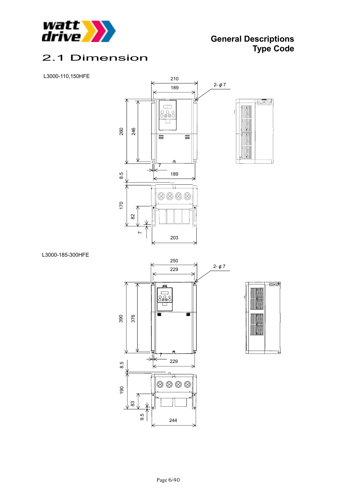

## 2.1 Dimension

#### L3000-110,150HFE



L3000-185-300HFE



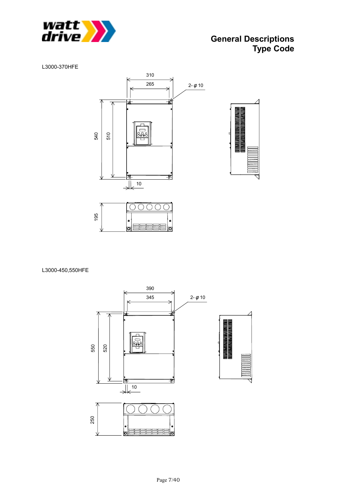

### **General Descriptions Type Code**

L3000-370HFE



L3000-450,550HFE

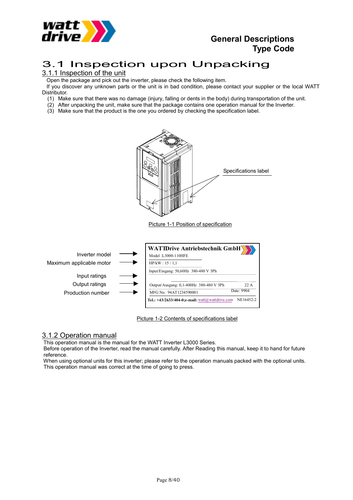

### **General Descriptions Type Code**

## 3.1 Inspection upon Unpacking

### 3.1.1 Inspection of the unit

Open the package and pick out the inverter, please check the following item.

 If you discover any unknown parts or the unit is in bad condition, please contact your supplier or the local WATT Distributor.

(1) Make sure that there was no damage (injury, falling or dents in the body) during transportation of the unit.

- (2) After unpacking the unit, make sure that the package contains one operation manual for the Inverter.
- (3) Make sure that the product is the one you ordered by checking the specification label.



### 3.1.2 Operation manual

This operation manual is the manual for the WATT Inverter L3000 Series.

 Before operation of the Inverter, read the manual carefully. After Reading this manual, keep it to hand for future reference.

 When using optional units for this inverter; please refer to the operation manuals packed with the optional units. This operation manual was correct at the time of going to press.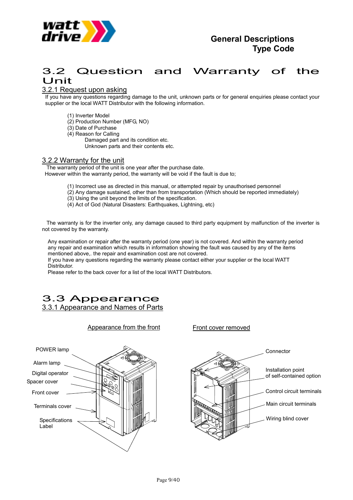

## 3.2 Question and Warranty of the Unit

### 3.2.1 Request upon asking

If you have any questions regarding damage to the unit, unknown parts or for general enquiries please contact your supplier or the local WATT Distributor with the following information.

- (1) Inverter Model
- (2) Production Number (MFG, NO)
- (3) Date of Purchase
- (4) Reason for Calling
	- Damaged part and its condition etc. Unknown parts and their contents etc.

#### 3.2.2 Warranty for the unit

 The warranty period of the unit is one year after the purchase date. However within the warranty period, the warranty will be void if the fault is due to;

- (1) Incorrect use as directed in this manual, or attempted repair by unauthorised personnel
- (2) Any damage sustained, other than from transportation (Which should be reported immediately)
- (3) Using the unit beyond the limits of the specification.
- (4) Act of God (Natural Disasters: Earthquakes, Lightning, etc)

 The warranty is for the inverter only, any damage caused to third party equipment by malfunction of the inverter is not covered by the warranty.

Any examination or repair after the warranty period (one year) is not covered. And within the warranty period any repair and examination which results in information showing the fault was caused by any of the items mentioned above,. the repair and examination cost are not covered.

If you have any questions regarding the warranty please contact either your supplier or the local WATT Distributor.

Please refer to the back cover for a list of the local WATT Distributors.

### 3.3 Appearance 3.3.1 Appearance and Names of Parts



Appearance from the front

Front cover removed

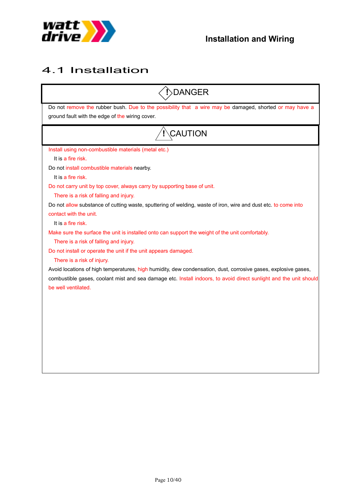

# 4.1 Installation

| <b>DANGER</b>                                                                                                                                                                                                   |
|-----------------------------------------------------------------------------------------------------------------------------------------------------------------------------------------------------------------|
| Do not remove the rubber bush. Due to the possibility that a wire may be damaged, shorted or may have a<br>ground fault with the edge of the wiring cover.                                                      |
| CAUTION                                                                                                                                                                                                         |
| Install using non-combustible materials (metal etc.)<br>It is a fire risk.<br>Do not install combustible materials nearby.                                                                                      |
| It is a fire risk.<br>Do not carry unit by top cover, always carry by supporting base of unit.<br>There is a risk of falling and injury.                                                                        |
| Do not allow substance of cutting waste, sputtering of welding, waste of iron, wire and dust etc. to come into<br>contact with the unit.<br>It is a fire risk.                                                  |
| Make sure the surface the unit is installed onto can support the weight of the unit comfortably.<br>There is a risk of falling and injury.                                                                      |
| Do not install or operate the unit if the unit appears damaged.<br>There is a risk of injury.<br>Avoid locations of high temperatures, high humidity, dew condensation, dust, corrosive gases, explosive gases, |
| combustible gases, coolant mist and sea damage etc. Install indoors, to avoid direct sunlight and the unit should<br>be well ventilated.                                                                        |
|                                                                                                                                                                                                                 |
|                                                                                                                                                                                                                 |
|                                                                                                                                                                                                                 |
|                                                                                                                                                                                                                 |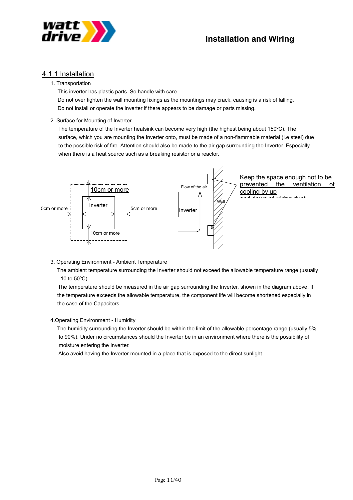

### 4.1.1 Installation

#### 1. Transportation

This inverter has plastic parts. So handle with care.

Do not over tighten the wall mounting fixings as the mountings may crack, causing is a risk of falling. Do not install or operate the inverter if there appears to be damage or parts missing.

2. Surface for Mounting of Inverter

The temperature of the Inverter heatsink can become very high (the highest being about 150ºC). The surface, which you are mounting the Inverter onto, must be made of a non-flammable material (i.e steel) due to the possible risk of fire. Attention should also be made to the air gap surrounding the Inverter. Especially when there is a heat source such as a breaking resistor or a reactor.



3. Operating Environment - Ambient Temperature

 The ambient temperature surrounding the Inverter should not exceed the allowable temperature range (usually  $-10$  to  $50^{\circ}$ C).

 The temperature should be measured in the air gap surrounding the Inverter, shown in the diagram above. If the temperature exceeds the allowable temperature, the component life will become shortened especially in the case of the Capacitors.

4.Operating Environment - Humidity

 The humidity surrounding the Inverter should be within the limit of the allowable percentage range (usually 5% to 90%). Under no circumstances should the Inverter be in an environment where there is the possibility of moisture entering the Inverter.

Also avoid having the Inverter mounted in a place that is exposed to the direct sunlight.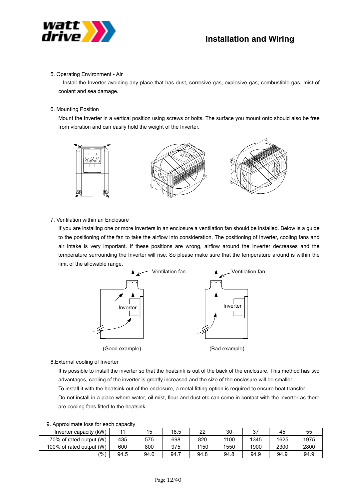

#### 5. Operating Environment - Air

 Install the Inverter avoiding any place that has dust, corrosive gas, explosive gas, combustible gas, mist of coolant and sea damage.

#### 6. Mounting Position

Mount the Inverter in a vertical position using screws or bolts. The surface you mount onto should also be free from vibration and can easily hold the weight of the Inverter.



#### 7. Ventilation within an Enclosure

If you are installing one or more Inverters in an enclosure a ventilation fan should be installed. Below is a guide to the positioning of the fan to take the airflow into consideration. The positioning of Inverter, cooling fans and air intake is very important. If these positions are wrong, airflow around the Inverter decreases and the temperature surrounding the Inverter will rise. So please make sure that the temperature around is within the limit of the allowable range.



8.External cooling of Inverter

It is possible to install the inverter so that the heatsink is out of the back of the enclosure. This method has two advantages, cooling of the inverter is greatly increased and the size of the enclosure will be smaller.

To install it with the heatsink out of the enclosure, a metal fitting option is required to ensure heat transfer.

Do not install in a place where water, oil mist, flour and dust etc can come in contact with the inverter as there are cooling fans fitted to the heatsink.

| Inverter capacity (kW)   |      | 15   | 18.5 | 22   | 30   | 37   | 45   | 55   |  |  |  |
|--------------------------|------|------|------|------|------|------|------|------|--|--|--|
| 70% of rated output (W)  | 435  | 575  | 698  | 820  | 1100 | 1345 | 1625 | 1975 |  |  |  |
| 100% of rated output (W) | 600  | 800  | 975  | 1150 | 1550 | 1900 | 2300 | 2800 |  |  |  |
| $\frac{1}{2}$            | 94.5 | 94.6 | 94.7 | 94.8 | 94.8 | 94.9 | 94.9 | 94.9 |  |  |  |

#### 9. Approximate loss for each capacity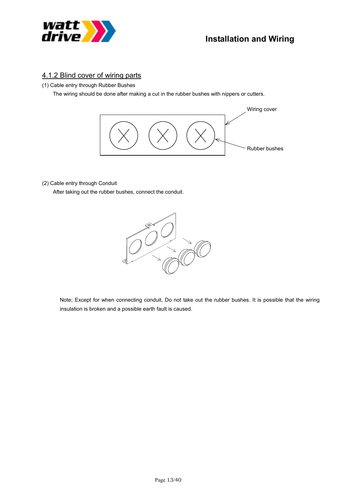

### 4.1.2 Blind cover of wiring parts

(1) Cable entry through Rubber Bushes

The wiring should be done after making a cut in the rubber bushes with nippers or cutters.



#### (2) Cable entry through Conduit

After taking out the rubber bushes, connect the conduit.



Note; Except for when connecting conduit, Do not take out the rubber bushes. It is possible that the wiring insulation is broken and a possible earth fault is caused.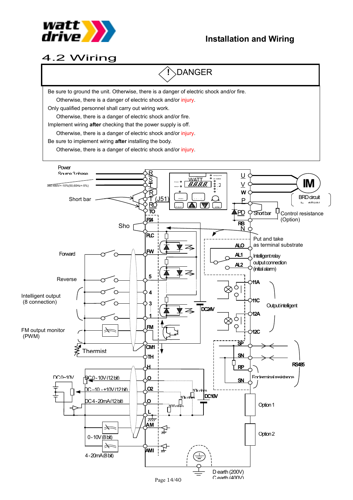

## 4.2 Wiring

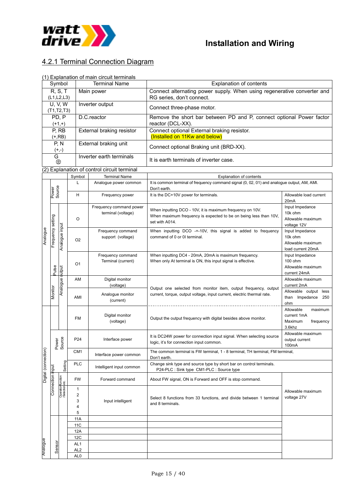

### 4.2.1 Terminal Connection Diagram

#### (1) Explanation of main circuit terminals

| Symbol            |                            |        | <b>Terminal Name</b>                        | <b>Explanation of contents</b>                                                              |  |  |  |  |
|-------------------|----------------------------|--------|---------------------------------------------|---------------------------------------------------------------------------------------------|--|--|--|--|
|                   | R, S, T                    |        | Main power                                  | Connect alternating power supply. When using regenerative converter and                     |  |  |  |  |
|                   | (L1,L2,L3)                 |        |                                             | RG series, don't connect.                                                                   |  |  |  |  |
|                   | <b>U.V.W</b><br>(T1,T2,T3) |        | Inverter output                             | Connect three-phase motor.                                                                  |  |  |  |  |
|                   |                            |        |                                             |                                                                                             |  |  |  |  |
| PD, P<br>$(+1,+)$ |                            |        | D.C.reactor                                 | Remove the short bar between PD and P, connect optional Power factor<br>reactor (DCL-XX).   |  |  |  |  |
|                   | P, RB                      |        | External braking resistor                   | Connect optional External braking resistor.                                                 |  |  |  |  |
|                   | $(+, RB)$                  |        |                                             | (Installed on 11Kw and below)                                                               |  |  |  |  |
|                   | P, N                       |        | External braking unit                       | Connect optional Braking unit (BRD-XX).                                                     |  |  |  |  |
|                   | $(+,-)$                    |        |                                             |                                                                                             |  |  |  |  |
|                   | G<br>⊜                     |        | Inverter earth terminals                    | It is earth terminals of inverter case.                                                     |  |  |  |  |
|                   |                            |        | (2) Explanation of control circuit terminal |                                                                                             |  |  |  |  |
|                   |                            | Symbol | <b>Terminal Name</b>                        | <b>Explanation of contents</b>                                                              |  |  |  |  |
|                   |                            |        | Analogue power common                       | It is common terminal of frequency command signal (0, 02, 01) and analogue output, AM, AMI. |  |  |  |  |
|                   | uce<br>ğ                   |        |                                             | Don't earth.                                                                                |  |  |  |  |

|                      |                   |                 |                 |                          | Don't earth.                                                                            |                                     |  |  |
|----------------------|-------------------|-----------------|-----------------|--------------------------|-----------------------------------------------------------------------------------------|-------------------------------------|--|--|
|                      | Power<br>Source   |                 | H               | Frequency power          | It is the DC+10V power for terminals.                                                   | Allowable load current              |  |  |
| Analogue             |                   |                 |                 |                          |                                                                                         | 20 <sub>m</sub> A                   |  |  |
|                      |                   |                 |                 | Frequency command power  | When inputting DCO - 10V, it is maximum frequency on 10V.                               | Input Impedance                     |  |  |
|                      |                   |                 |                 | terminal (voltage)       | When maximum frequency is expected to be on being less than 10V,                        | 10k ohm                             |  |  |
|                      |                   |                 | $\circ$         |                          | set with A014.                                                                          | Allowable maximum                   |  |  |
|                      |                   |                 |                 |                          |                                                                                         | voltage 12V                         |  |  |
|                      | Frequency setting | Analogue input  |                 | Frequency command        | When inputting DCO -+-10V, this signal is added to frequency                            | Input Impedance                     |  |  |
|                      |                   |                 | O <sub>2</sub>  | support (voltage)        | command of 0 or 01 terminal.                                                            | 10k ohm                             |  |  |
|                      |                   |                 |                 |                          |                                                                                         | Allowable maximum                   |  |  |
|                      |                   |                 |                 |                          |                                                                                         | load current 20mA                   |  |  |
|                      |                   |                 |                 | Frequency command        | When inputting DC4 - 20mA, 20mA is maximum frequency.                                   | Input Impedance                     |  |  |
|                      |                   |                 | O <sub>1</sub>  | Terminal (current)       | When only At terminal is ON, this input signal is effective.                            | 100 ohm                             |  |  |
|                      | Pulse             |                 |                 |                          |                                                                                         | Allowable maximum                   |  |  |
|                      |                   |                 |                 |                          |                                                                                         | current 24mA                        |  |  |
|                      |                   |                 | AM              | Digital monitor          |                                                                                         | Allowable maximum                   |  |  |
|                      |                   | Analogue output |                 | (voltage)                | Output one selected from monitor item, output frequency, output                         | current 2mA                         |  |  |
|                      | Monitor           |                 |                 | Analogue monitor         | current, torque, output voltage, input current, electric thermal rate.                  | Allowable output less               |  |  |
|                      |                   |                 | AMI             | (current)                |                                                                                         | than Impedance<br>250               |  |  |
|                      |                   |                 |                 |                          |                                                                                         | ohm                                 |  |  |
|                      |                   |                 |                 |                          |                                                                                         | Allowable<br>maximum<br>current 1mA |  |  |
|                      |                   |                 | <b>FM</b>       | Digital monitor          | Output the output frequency with digital besides above monitor.                         | Maximum<br>frequency                |  |  |
|                      |                   |                 |                 | (voltage)                |                                                                                         | 3.6khz                              |  |  |
|                      |                   |                 |                 |                          |                                                                                         | Allowable maximum                   |  |  |
|                      |                   |                 | P <sub>24</sub> | Interface power          | It is DC24W power for connection input signal. When selecting source                    | output current                      |  |  |
|                      |                   | Power<br>Source |                 |                          | logic, it's for connection input common.                                                | 100mA                               |  |  |
|                      |                   |                 | CM <sub>1</sub> |                          | The common terminal is FW terminal, 1 - 8 terminal, TH terminal, FM terminal,           |                                     |  |  |
| Digital (connection) |                   |                 |                 | Interface power common   | Don't earth.                                                                            |                                     |  |  |
|                      |                   | Setting         | <b>PLC</b>      |                          | Change sink type and source type by short bar on control terminals.                     |                                     |  |  |
|                      | Connection input  |                 |                 | Intelligent input common | P24-PLC : Sink type CM1-PLC : Source type                                               |                                     |  |  |
|                      |                   |                 | <b>FW</b>       |                          |                                                                                         |                                     |  |  |
|                      |                   | etc.            |                 | Forward command          | About FW signal, ON is Forward and OFF is stop command.                                 |                                     |  |  |
|                      |                   | Selection       | $\mathbf{1}$    |                          |                                                                                         | Allowable maximum                   |  |  |
|                      |                   |                 | $\overline{c}$  |                          |                                                                                         | voltage 27V                         |  |  |
|                      |                   |                 | 3               | Input intelligent        | Select 8 functions from 33 functions, and divide between 1 terminal<br>and 8 terminals. |                                     |  |  |
|                      |                   |                 | 4               |                          |                                                                                         |                                     |  |  |
|                      |                   |                 | 5               |                          |                                                                                         |                                     |  |  |
|                      |                   |                 | 11A             |                          |                                                                                         |                                     |  |  |
|                      |                   |                 | 11 <sub>C</sub> |                          |                                                                                         |                                     |  |  |
|                      |                   |                 | 12A             |                          |                                                                                         |                                     |  |  |
|                      |                   |                 | 12C             |                          |                                                                                         |                                     |  |  |
|                      |                   |                 | AL <sub>1</sub> |                          |                                                                                         |                                     |  |  |
| Analogue             | Sensor            |                 | AL <sub>2</sub> |                          |                                                                                         |                                     |  |  |
|                      |                   |                 | AL <sub>0</sub> |                          |                                                                                         |                                     |  |  |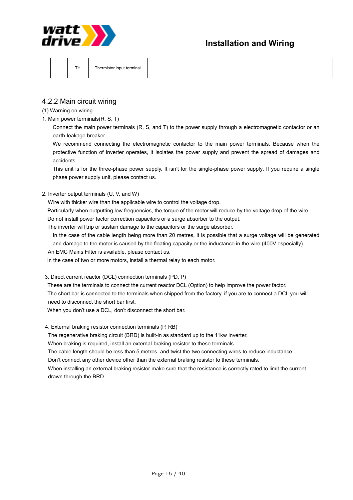



|--|--|

### 4.2.2 Main circuit wiring

(1) Warning on wiring

1. Main power terminals(R, S, T)

Connect the main power terminals (R, S, and T) to the power supply through a electromagnetic contactor or an earth-leakage breaker.

We recommend connecting the electromagnetic contactor to the main power terminals. Because when the protective function of inverter operates, it isolates the power supply and prevent the spread of damages and accidents.

This unit is for the three-phase power supply. It isn't for the single-phase power supply. If you require a single phase power supply unit, please contact us.

2. Inverter output terminals (U, V, and W)

Wire with thicker wire than the applicable wire to control the voltage drop.

Particularly when outputting low frequencies, the torque of the motor will reduce by the voltage drop of the wire.

Do not install power factor correction capacitors or a surge absorber to the output.

The inverter will trip or sustain damage to the capacitors or the surge absorber.

In the case of the cable length being more than 20 metres, it is possible that a surge voltage will be generated and damage to the motor is caused by the floating capacity or the inductance in the wire (400V especially).

An EMC Mains Filter is available, please contact us.

In the case of two or more motors, install a thermal relay to each motor.

3. Direct current reactor (DCL) connection terminals (PD, P)

 These are the terminals to connect the current reactor DCL (Option) to help improve the power factor. The short bar is connected to the terminals when shipped from the factory, if you are to connect a DCL you will need to disconnect the short bar first.

When you don't use a DCL, don't disconnect the short bar.

4. External braking resistor connection terminals (P, RB)

The regenerative braking circuit (BRD) is built-in as standard up to the 11kw Inverter.

When braking is required, install an external-braking resistor to these terminals.

The cable length should be less than 5 metres, and twist the two connecting wires to reduce inductance.

Don't connect any other device other than the external braking resistor to these terminals.

 When installing an external braking resistor make sure that the resistance is correctly rated to limit the current drawn through the BRD.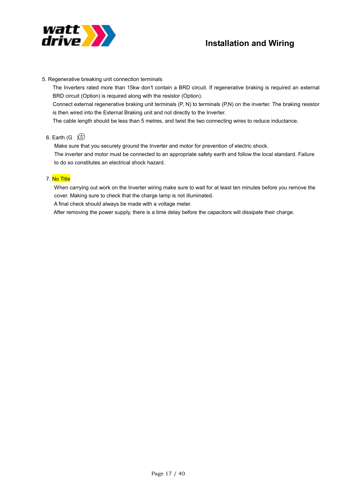

#### 5. Regenerative breaking unit connection terminals

The Inverters rated more than 15kw don't contain a BRD circuit. If regenerative braking is required an external BRD circuit (Option) is required along with the resistor (Option).

Connect external regenerative braking unit terminals (P, N) to terminals (P,N) on the inverter. The braking resistor is then wired into the External Braking unit and not directly to the Inverter.

The cable length should be less than 5 metres, and twist the two connecting wires to reduce inductance.

#### 6. Earth (G  $\circ$

 Make sure that you securely ground the Inverter and motor for prevention of electric shock. The inverter and motor must be connected to an appropriate safety earth and follow the local standard. Failure to do so constitutes an electrical shock hazard.

#### 7. No Title

 When carrying out work on the Inverter wiring make sure to wait for at least ten minutes before you remove the cover. Making sure to check that the charge lamp is not illuminated.

A final check should always be made with a voltage meter.

After removing the power supply, there is a time delay before the capacitors will dissipate their charge.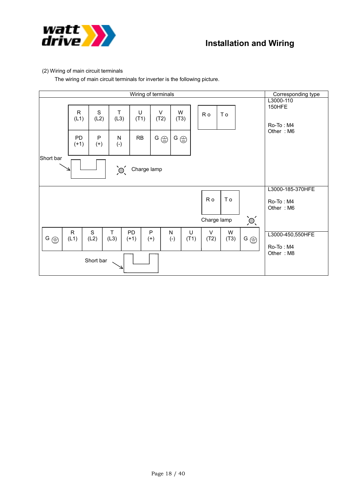

#### (2) Wiring of main circuit terminals

The wiring of main circuit terminals for inverter is the following picture.

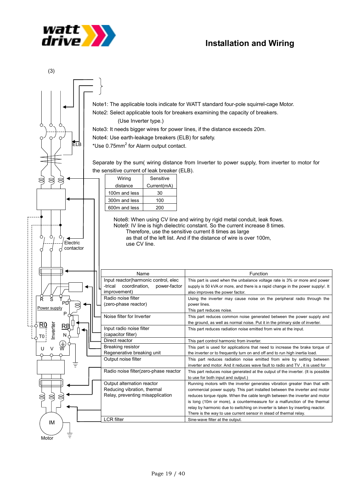



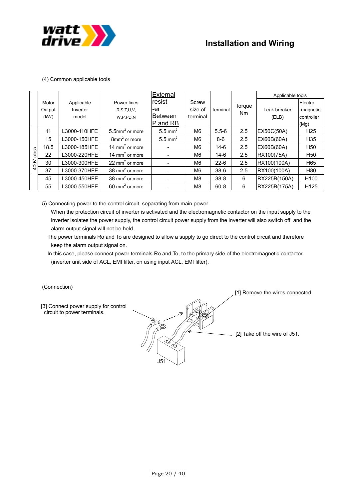

#### (4) Common applicable tools

|       |        |              |                               | External              |                |           |        | Applicable tools |                  |
|-------|--------|--------------|-------------------------------|-----------------------|----------------|-----------|--------|------------------|------------------|
|       | Motor  | Applicable   | Power lines                   | resist                | Screw          |           | Torque |                  | Electro          |
|       | Output | Inverter     | R.S.T.U.V.                    | -er                   | size of        | Terminal  | Nm     | Leak breaker     | -magnetic        |
|       | (kW)   | model        | W, P, PD, N                   | <b>Between</b>        | terminal       |           |        | (ELB)            | controller       |
|       |        |              |                               | P and RB              |                |           |        |                  | (Mg)             |
|       | 11     | L3000-110HFE | $5.5$ mm <sup>2</sup> or more | $5.5$ mm <sup>2</sup> | M <sub>6</sub> | $5.5 - 6$ | 2.5    | EX50C(50A)       | H <sub>25</sub>  |
|       | 15     | L3000-150HFE | $8$ mm <sup>2</sup> or more   | $5.5$ mm <sup>2</sup> | M6             | $8-6$     | 2.5    | EX60B(60A)       | H <sub>35</sub>  |
|       | 18.5   | L3000-185HFE | 14 mm <sup>2</sup> or more    |                       | M6             | $14-6$    | 2.5    | EX60B(60A)       | H <sub>50</sub>  |
| class | 22     | L3000-220HFE | 14 mm <sup>2</sup> or more    |                       | M6             | $14-6$    | 2.5    | RX100(75A)       | H <sub>50</sub>  |
| 400V  | 30     | L3000-300HFE | 22 mm <sup>2</sup> or more    |                       | M6             | $22 - 6$  | 2.5    | RX100(100A)      | H65              |
|       | 37     | L3000-370HFE | 38 mm <sup>2</sup> or more    |                       | M6             | $38-6$    | 2.5    | RX100(100A)      | H80              |
|       | 45     | L3000-450HFE | 38 mm <sup>2</sup> or more    |                       | M8             | $38 - 8$  | 6      | RX225B(150A)     | H <sub>100</sub> |
|       | 55     | L3000-550HFE | 60 mm <sup>2</sup> or more    |                       | M8             | $60 - 8$  | 6      | RX225B(175A)     | H <sub>125</sub> |

5) Connecting power to the control circuit, separating from main power

 When the protection circuit of inverter is activated and the electromagnetic contactor on the input supply to the inverter isolates the power supply, the control circuit power supply from the inverter will also switch off and the alarm output signal will not be held.

- The power terminals Ro and To are designed to allow a supply to go direct to the control circuit and therefore keep the alarm output signal on.
- In this case, please connect power terminals Ro and To, to the primary side of the electromagnetic contactor. (inverter unit side of ACL, EMI filter, on using input ACL, EMI filter).

(Connection)

 $-$  [2] Take off the wire of J51. [1] Remove the wires connected. [3] Connect power supply for control circuit to power terminals. J51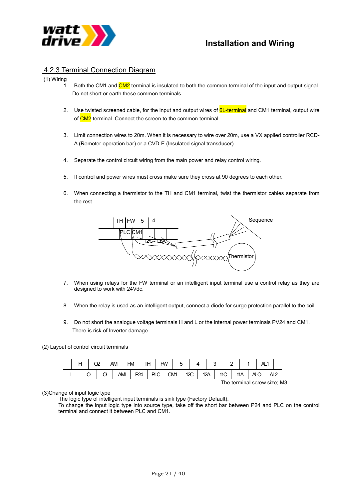

### 4.2.3 Terminal Connection Diagram

#### (1) Wiring

- $1.$  Both the CM1 and  $CM2$  terminal is insulated to both the common terminal of the input and output signal. Do not short or earth these common terminals.
- 2. Use twisted screened cable, for the input and output wires of **6L-terminal** and CM1 terminal, output wire of CM2 terminal. Connect the screen to the common terminal.
- 3. Limit connection wires to 20m. When it is necessary to wire over 20m, use a VX applied controller RCD-A (Remoter operation bar) or a CVD-E (Insulated signal transducer).
- 4. Separate the control circuit wiring from the main power and relay control wiring.
- 5. If control and power wires must cross make sure they cross at 90 degrees to each other.
- 6. When connecting a thermistor to the TH and CM1 terminal, twist the thermistor cables separate from the rest.



- 7. When using relays for the FW terminal or an intelligent input terminal use a control relay as they are designed to work with 24Vdc.
- 8. When the relay is used as an intelligent output, connect a diode for surge protection parallel to the coil.
- 9. Do not short the analogue voltage terminals H and L or the internal power terminals PV24 and CM1. There is risk of Inverter damage.

(2) Layout of control circuit terminals



#### (3)Change of input logic type

The logic type of intelligent input terminals is sink type (Factory Default).

To change the input logic type into source type, take off the short bar between P24 and PLC on the control terminal and connect it between PLC and CM1.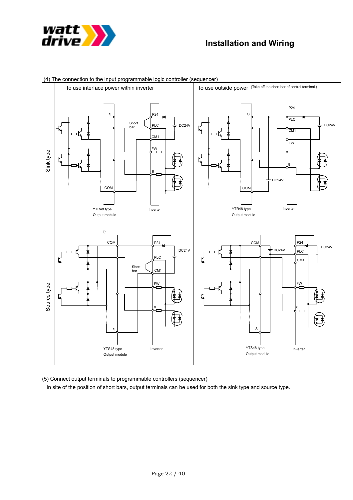



(4) The connection to the input programmable logic controller (sequencer)

(5) Connect output terminals to programmable controllers (sequencer)

In site of the position of short bars, output terminals can be used for both the sink type and source type.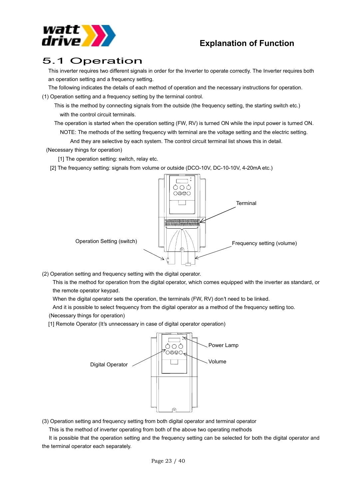

## 5.1 Operation

This inverter requires two different signals in order for the Inverter to operate correctly. The Inverter requires both an operation setting and a frequency setting.

The following indicates the details of each method of operation and the necessary instructions for operation.

(1) Operation setting and a frequency setting by the terminal control.

- This is the method by connecting signals from the outside (the frequency setting, the starting switch etc.) with the control circuit terminals.
- The operation is started when the operation setting (FW, RV) is turned ON while the input power is turned ON. NOTE: The methods of the setting frequency with terminal are the voltage setting and the electric setting.

And they are selective by each system. The control circuit terminal list shows this in detail.

(Necessary things for operation)

[1] The operation setting: switch, relay etc.

[2] The frequency setting: signals from volume or outside (DCO-10V, DC-10-10V, 4-20mA etc.)



(2) Operation setting and frequency setting with the digital operator.

This is the method for operation from the digital operator, which comes equipped with the inverter as standard, or the remote operator keypad.

When the digital operator sets the operation, the terminals (FW, RV) don't need to be linked.

And it is possible to select frequency from the digital operator as a method of the frequency setting too. (Necessary things for operation)

[1] Remote Operator (It's unnecessary in case of digital operator operation)



(3) Operation setting and frequency setting from both digital operator and terminal operator

This is the method of inverter operating from both of the above two operating methods

 It is possible that the operation setting and the frequency setting can be selected for both the digital operator and the terminal operator each separately.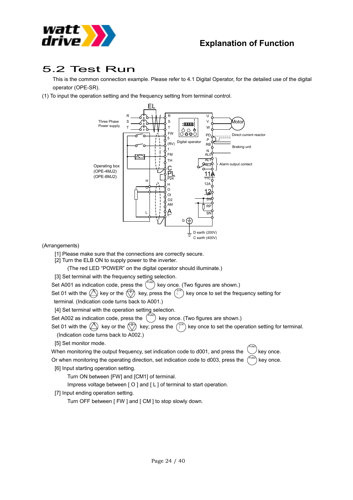

# 5.2 Test Run

This is the common connection example. Please refer to 4.1 Digital Operator, for the detailed use of the digital operator (OPE-SR).

(1) To input the operation setting and the frequency setting from terminal control.



#### (Arrangements)

- [1] Please make sure that the connections are correctly secure.
- [2] Turn the ELB ON to supply power to the inverter.

(The red LED "POWER" on the digital operator should illuminate.)

- [3] Set terminal with the frequency setting selection.
- Set A001 as indication code, press the  $($  $F^{UNC}$ ) key once. (Two figures are shown.)

Set 01 with the  $\langle A \rangle$  key or the  $\langle \hat{z} \rangle$  key, press the  $\langle \hat{z} \rangle$  key once to set the frequency setting for terminal. (Indication code turns back to A001.)

[4] Set terminal with the operation setting selection.

Set A002 as indication code, press the  $\left($  $F_{\text{SNC}}$ ) key once. (Two figures are shown.)

Set 01 with the  $\langle A \rangle$  key or the  $\langle \hat{z} \rangle$  key; press the  $\langle \hat{z} \rangle$  key once to set the operation setting for terminal. (Indication code turns back to A002.)

[5] Set monitor mode.

When monitoring the output frequency, set indication code to d001, and press the  $\bigcirc$  key once. Or when monitoring the operating direction, set indication code to d003, press the  $\int_{-\infty}^{\infty}$  key once. FUNC FUNC

[6] Input starting operation setting.

Turn ON between [FW] and [CM1] of terminal.

Impress voltage between [ O ] and [ L ] of terminal to start operation.

[7] Input ending operation setting.

Turn OFF between [ FW ] and [ CM ] to stop slowly down.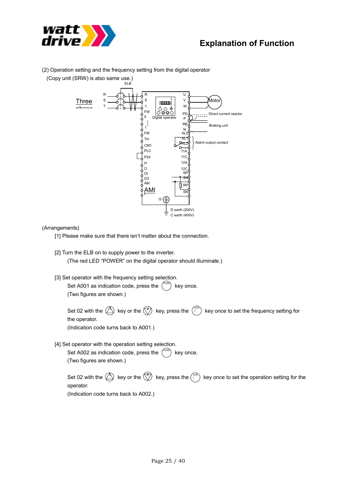

(2) Operation setting and the frequency setting from the digital operator

(Copy unit (SRW) is also same use.)



#### (Arrangements)

- [1] Please make sure that there isn't matter about the connection.
- [2] Turn the ELB on to supply power to the inverter. (The red LED "POWER" on the digital operator should illuminate.)
- [3] Set operator with the frequency setting selection. Set A001 as indication code, press the  $\binom{FUNC}{FUNC}$  key once.

(Two figures are shown.)

Set 02 with the  $\langle A \rangle$  key or the  $\langle \hat{z} \rangle$  key, press the  $\langle \hat{z} \rangle$  key once to set the frequency setting for the operator.

(Indication code turns back to A001.)

[4] Set operator with the operation setting selection.

Set A002 as indication code, press the  $\binom{FUNC}{FUNC}$  key once. (Two figures are shown.)

Set 02 with the  $\bigcircled{2}$  key or the  $\binom{2}{7}$  key, press the  $\binom{37R}{1}$  key once to set the operation setting for the operator. (Indication code turns back to A002.)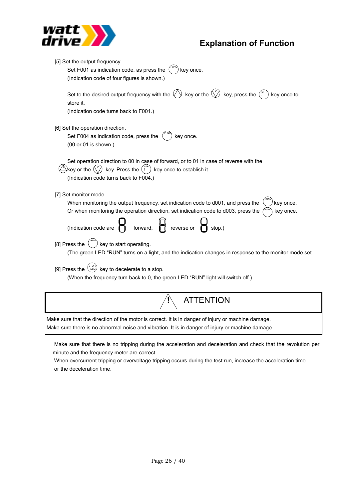

| [5] Set the output frequency<br>Set F001 as indication code, as press the<br>key once.<br>(Indication code of four figures is shown.)<br>Set to the desired output frequency with the $\bigoplus$ key or the $\binom{2}{2}$ key, press the $\binom{37R}{1}$      |
|------------------------------------------------------------------------------------------------------------------------------------------------------------------------------------------------------------------------------------------------------------------|
| key once to<br>store it.<br>(Indication code turns back to F001.)                                                                                                                                                                                                |
| [6] Set the operation direction.<br>Set F004 as indication code, press the<br>key once.<br>(00 or 01 is shown.)                                                                                                                                                  |
| Set operation direction to 00 in case of forward, or to 01 in case of reverse with the<br>$\Box$ key or the $\left(\frac{2}{\sqrt{2}}\right)$ key. Press the $\left(\frac{1}{2}\right)^{1/2}$ key once to establish it.<br>(Indication code turns back to F004.) |
| [7] Set monitor mode.<br>When monitoring the output frequency, set indication code to d001, and press the<br>key once.                                                                                                                                           |
| Or when monitoring the operation direction, set indication code to d003, press the<br>key once.<br>(Indication code are $\begin{bmatrix} 0 & 0 \\ 0 & 0 \end{bmatrix}$ reverse or $\begin{bmatrix} 0 & 0 \\ 0 & 0 \end{bmatrix}$ stop.)                          |
| key to start operating.<br>[8] Press the<br>(The green LED "RUN" turns on a light, and the indication changes in response to the monitor mode set.                                                                                                               |
| [9] Press the $\binom{\text{STOP}}{\text{Reser}}$ key to decelerate to a stop.<br>(When the frequency turn back to 0, the green LED "RUN" light will switch off.)                                                                                                |
| <b>ATTENTION</b>                                                                                                                                                                                                                                                 |

Make sure that the direction of the motor is correct. It is in danger of injury or machine damage.

Make sure there is no abnormal noise and vibration. It is in danger of injury or machine damage.

 Make sure that there is no tripping during the acceleration and deceleration and check that the revolution per minute and the frequency meter are correct.

When overcurrent tripping or overvoltage tripping occurs during the test run, increase the acceleration time or the deceleration time.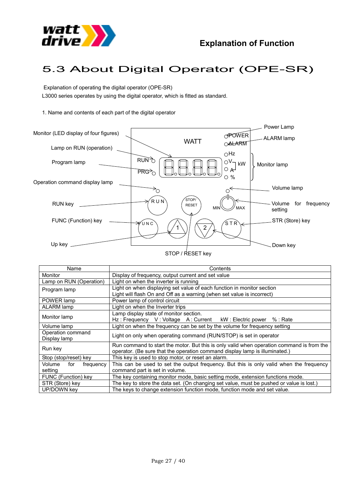

# 5.3 About Digital Operator (OPE-SR)

 Explanation of operating the digital operator (OPE-SR) L3000 series operates by using the digital operator, which is fitted as standard.

1. Name and contents of each part of the digital operator



| Name                       | Contents                                                                                  |  |  |  |  |
|----------------------------|-------------------------------------------------------------------------------------------|--|--|--|--|
| <b>Monitor</b>             | Display of frequency, output current and set value                                        |  |  |  |  |
| Lamp on RUN (Operation)    | Light on when the inverter is running                                                     |  |  |  |  |
| Program lamp               | Light on when displaying set value of each function in monitor section                    |  |  |  |  |
|                            | Light will flash On and Off as a warning (when set value is incorrect)                    |  |  |  |  |
| POWER lamp                 | Power lamp of control circuit                                                             |  |  |  |  |
| ALARM lamp                 | Light on when the Inverter trips                                                          |  |  |  |  |
|                            | Lamp display state of monitor section.                                                    |  |  |  |  |
| Monitor lamp               | Hz: Frequency V: Voltage A: Current kW: Electric power %: Rate                            |  |  |  |  |
| Volume lamp                | Light on when the frequency can be set by the volume for frequency setting                |  |  |  |  |
| Operation command          | Light on only when operating command (RUN/STOP) is set in operator                        |  |  |  |  |
| Display lamp               |                                                                                           |  |  |  |  |
| Run kev                    | Run command to start the motor. But this is only valid when operation command is from the |  |  |  |  |
|                            | operator. (Be sure that the operation command display lamp is illuminated.)               |  |  |  |  |
| Stop (stop/reset) key      | This key is used to stop motor, or reset an alarm.                                        |  |  |  |  |
| Volume<br>for<br>frequency | This can be used to set the output frequency. But this is only valid when the frequency   |  |  |  |  |
| setting                    | command part is set in volume.                                                            |  |  |  |  |
| FUNC (Function) key        | The key containing monitor mode, basic setting mode, extension functions mode.            |  |  |  |  |
| STR (Store) key            | The key to store the data set. (On changing set value, must be pushed or value is lost.)  |  |  |  |  |
| UP/DOWN key                | The keys to change extension function mode, function mode and set value.                  |  |  |  |  |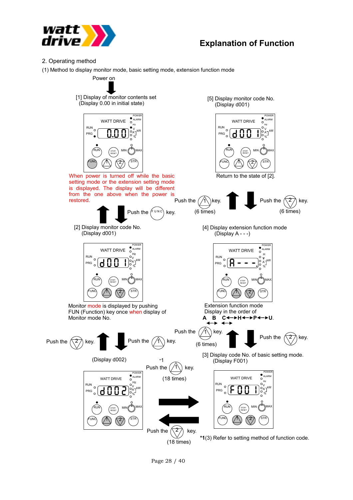

- 2. Operating method
- (1) Method to display monitor mode, basic setting mode, extension function mode

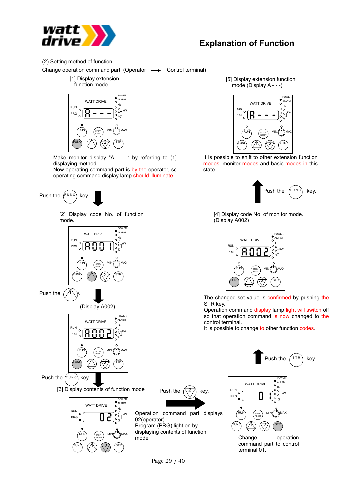

(2) Setting method of function

Change operation command part. (Operator  $\longrightarrow$  Control terminal)

[1] Display extension function mode



Make monitor display "A - - -" by referring to  $(1)$ displaying method.

Now operating command part is by the operator, so operating command display lamp should illuminate.







(Display A002)



Push the  $f_{\text{PUNC}}$  key.

[3] Display contents of function mode Push the  $\left(\sqrt{2}\right)$  key.





Operation command part displays 02(operator). Program (PRG) light on by displaying contents of function mode





[5] Display extension function mode (Display A - - -)



It is possible to shift to other extension function modes, monitor modes and basic modes in this state.



[4] Display code No. of monitor mode. (Display A002)



The changed set value is confirmed by pushing the STR key.

Operation command display lamp light will switch off so that operation command is now changed to the control terminal.

Push the  $\binom{s}{r}$  key.

It is possible to change to other function codes.



command part to control terminal 01.

Page 29 / 40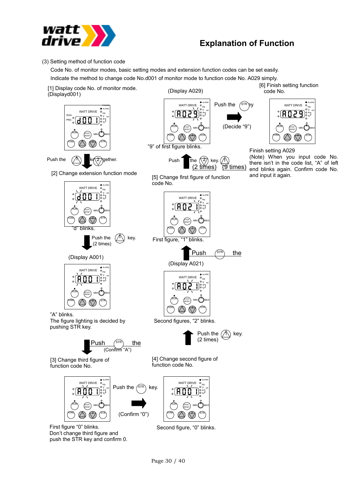

#### (3) Setting method of function code

push the STR key and confirm 0.

Code No. of monitor modes, basic setting modes and extension function codes can be set easily. Indicate the method to change code No.d001 of monitor mode to function code No. A029 simply.

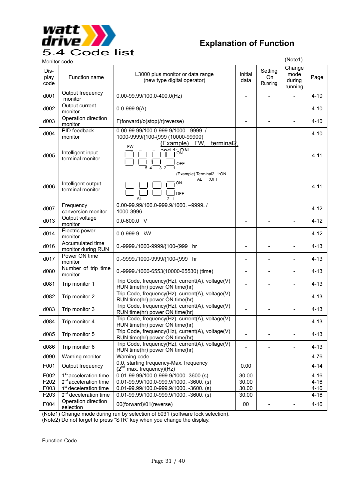

| ◡.∸                  | COUG 1195                              |                                                                                                                              |                          |                              |                                     |          |
|----------------------|----------------------------------------|------------------------------------------------------------------------------------------------------------------------------|--------------------------|------------------------------|-------------------------------------|----------|
| Monitor code         |                                        |                                                                                                                              |                          |                              | (Note1)                             |          |
| Dis-<br>play<br>code | Function name                          | L3000 plus monitor or data range<br>(new type digital operator)                                                              | Initial<br>data          | Setting<br>On<br>Running     | Change<br>mode<br>during<br>running | Page     |
| d001                 | Output frequency<br>monitor            | $0.00 - 99.99/100.0 - 400.0$ (Hz)                                                                                            |                          |                              |                                     | $4 - 10$ |
| d002                 | Output current<br>monitor              | $0.0 - 999.9(A)$                                                                                                             | $\overline{a}$           | $\frac{1}{2}$                | $\overline{\phantom{0}}$            | $4 - 10$ |
| d003                 | Operation direction<br>monitor         | F(forward)/o(stop)/r(reverse)                                                                                                | -                        | $\qquad \qquad -$            | ÷                                   | $4 - 10$ |
| d004                 | PID feedback<br>monitor                | 0.00-99.99/100.0-999.9/1000. -9999. /<br>1000-9999/{100-{999 (10000-99900)                                                   | $\blacksquare$           | $\qquad \qquad -$            | $\overline{\phantom{0}}$            | $4 - 10$ |
| d005                 | Intelligent input<br>terminal monitor  | terminal <sub>2</sub> ,<br>(Example)<br>FW,<br><b>FW</b><br>$\sqrt{\frac{2nd-1}{10}}$<br><b>OFF</b><br>5 4<br>3 <sub>2</sub> |                          |                              |                                     | $4 - 11$ |
| d006                 | Intelligent output<br>terminal monitor | (Example) Terminal2, 1:ON<br>:OFF<br>AL<br>ON<br>loff<br>AL<br>$\overline{2}$<br>$\overline{1}$                              |                          |                              |                                     | $4 - 11$ |
| d007                 | Frequency<br>conversion monitor        | 0.00-99.99/100.0-999.9/1000. -9999./<br>1000-3996                                                                            | $\qquad \qquad -$        | $\blacksquare$               | ÷                                   | $4 - 12$ |
| d013                 | Output voltage<br>monitor              | $0.0 - 600.0$ V                                                                                                              |                          |                              | $\overline{a}$                      | $4 - 12$ |
| d014                 | Electric power<br>monitor              | 0.0-999.9 kW                                                                                                                 |                          | $\blacksquare$               |                                     | $4 - 12$ |
| d016                 | Accumulated time<br>monitor during RUN | 0.-9999./1000-9999/{100-{999 hr                                                                                              |                          |                              |                                     | $4 - 13$ |
| d017                 | Power ON time<br>monitor               | 0.-9999./1000-9999/{100-{999 hr                                                                                              | $\overline{\phantom{0}}$ | L,                           |                                     | $4 - 13$ |
| d080                 | Number of trip time<br>monitor         | 0.-9999./1000-6553(10000-65530) (time)                                                                                       | $\overline{a}$           | $\overline{a}$               |                                     | $4 - 13$ |
| d081                 | Trip monitor 1                         | Trip Code, frequency(Hz), current(A), voltage(V)<br>RUN time(hr) power ON time(hr)                                           |                          | $\overline{a}$               |                                     | $4 - 13$ |
| d082                 | Trip monitor 2                         | Trip Code, frequency(Hz), current(A), voltage(V)<br>RUN time(hr) power ON time(hr)                                           |                          | $\overline{a}$               | $\overline{a}$                      | $4 - 13$ |
| d083                 | Trip monitor 3                         | Trip Code, frequency(Hz), current(A), voltage(V)<br>RUN time(hr) power ON time(hr)                                           |                          |                              |                                     | $4 - 13$ |
| d084                 | Trip monitor 4                         | Trip Code, frequency(Hz), current(A), voltage(V)<br>RUN time(hr) power ON time(hr)                                           | $\overline{\phantom{0}}$ | $\overline{\phantom{0}}$     | $\overline{a}$                      | $4 - 13$ |
| d085                 | Trip monitor 5                         | Trip Code, frequency(Hz), current(A), voltage(V)<br>RUN time(hr) power ON time(hr)                                           |                          |                              |                                     | $4 - 13$ |
| d086                 | Trip monitor 6                         | Trip Code, frequency(Hz), current(A), voltage(V)<br>RUN time(hr) power ON time(hr)                                           |                          | $\overline{a}$               | $\overline{\phantom{0}}$            | $4 - 13$ |
| d090                 | Warning monitor                        | Warning code                                                                                                                 | $\overline{a}$           | $\qquad \qquad \blacksquare$ |                                     | $4 - 76$ |
| F001                 | Output frequency                       | 0.0, starting frequency-Max. frequency<br>(2 <sup>nd</sup> max. frequency)(Hz)                                               | 0.00                     |                              |                                     | $4 - 14$ |
| F002                 | 1 <sup>st</sup> acceleration time      | 0.01-99.99/100.0-999.9/1000.-3600.(s)                                                                                        | 30.00                    |                              |                                     | $4 - 16$ |
| F202                 | $2^{nd}$ acceleration time             | $0.01 - 99.99/100.0 - 999.9/1000. - 3600.$ (s)                                                                               | 30.00                    |                              |                                     | $4 - 16$ |
| F003                 | 1 <sup>st</sup> deceleration time      | $0.01 - 99.99/100.0 - 999.9/1000. -3600.$ (s)                                                                                | 30.00                    |                              |                                     | $4 - 16$ |
| F203                 | 2 <sup>nd</sup> deceleration time      | 0.01-99.99/100.0-999.9/1000. -3600. (s)                                                                                      | 30.00                    |                              |                                     | $4 - 16$ |
| F004                 | Operation direction<br>selection       | 00(forward)/01(reverse)                                                                                                      | $00\,$                   |                              |                                     | $4 - 16$ |

(Note1) Change mode during run by selection of b031 (software lock selection).

(Note2) Do not forget to press "STR" key when you change the display.

Function Code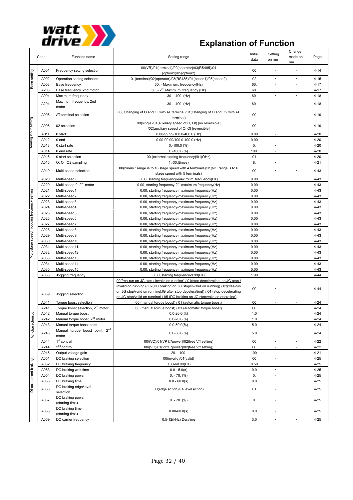

|                                       | Code | Function name                                       | Setting range                                                                                                                                                                                                                                                                                                                            | Initial<br>data                                                                                                                                                                                                                                                                                                                                                                                                                                                                                                                                                                                                                                                               | Setting<br>on run        | Change<br>mode on<br>run | Page     |
|---------------------------------------|------|-----------------------------------------------------|------------------------------------------------------------------------------------------------------------------------------------------------------------------------------------------------------------------------------------------------------------------------------------------------------------------------------------------|-------------------------------------------------------------------------------------------------------------------------------------------------------------------------------------------------------------------------------------------------------------------------------------------------------------------------------------------------------------------------------------------------------------------------------------------------------------------------------------------------------------------------------------------------------------------------------------------------------------------------------------------------------------------------------|--------------------------|--------------------------|----------|
|                                       | A001 | Frequency setting selection                         | 00(VR)/01(terminal)/02(operator)/03(RS485)/04<br>(option1)/05(option2)                                                                                                                                                                                                                                                                   | 00<br>02<br>$\overline{\phantom{a}}$<br>$\overline{\phantom{a}}$<br>60.<br>60.<br>$\overline{\phantom{a}}$<br>$\overline{a}$<br>60.<br>$\blacksquare$<br>60.<br>$\overline{a}$<br>00<br>00<br>÷,<br>$\blacksquare$<br>0.00<br>0.00<br>$\overline{a}$<br>0.<br>$\blacksquare$<br>100<br>$\overline{\phantom{a}}$<br>01<br>$\overline{a}$<br>8.<br>$\overline{\phantom{a}}$<br>00<br>$\overline{a}$<br>0.00<br>0.00<br>0.00<br>0.00, starting frequency-maximum frequency(Hz)<br>0.00<br>0.00<br>0.00<br>0.00<br>0.00<br>0.00<br>0.00<br>0.00<br>0.00<br>0.00<br>0.00<br>0.00<br>0.00<br>0.00<br>1.00<br>00<br>00<br>00<br>$\overline{\phantom{a}}$<br>$\overline{\phantom{a}}$ | $4 - 14$                 |                          |          |
|                                       | A002 | Operation setting selection                         | 01(terminal)/02(operator)/03(RS485)/04(option1)/05(option2)                                                                                                                                                                                                                                                                              |                                                                                                                                                                                                                                                                                                                                                                                                                                                                                                                                                                                                                                                                               |                          |                          | $4 - 15$ |
| Base setting                          | A003 | Base frequency                                      | 30. - Maximum. frequency(Hz)                                                                                                                                                                                                                                                                                                             |                                                                                                                                                                                                                                                                                                                                                                                                                                                                                                                                                                                                                                                                               |                          |                          | $4 - 17$ |
|                                       | A203 | Base frequency, 2nd motor                           | 30. - 2 <sup>nd</sup> Maximum. frequency (Hz)                                                                                                                                                                                                                                                                                            |                                                                                                                                                                                                                                                                                                                                                                                                                                                                                                                                                                                                                                                                               |                          |                          | $4 - 17$ |
|                                       | A004 | Maximum frequency                                   | 30. - 400. (Hz)                                                                                                                                                                                                                                                                                                                          |                                                                                                                                                                                                                                                                                                                                                                                                                                                                                                                                                                                                                                                                               |                          |                          | $4 - 18$ |
|                                       | A204 | Maximum frequency, 2nd<br>motor                     | 30. - 400. (Hz)                                                                                                                                                                                                                                                                                                                          |                                                                                                                                                                                                                                                                                                                                                                                                                                                                                                                                                                                                                                                                               |                          |                          | $4 - 18$ |
|                                       | A005 | AT terminal selection                               | 00( Changing of O and OI with AT terminal)/01(Changing of O and O2 with AT<br>terminal)                                                                                                                                                                                                                                                  |                                                                                                                                                                                                                                                                                                                                                                                                                                                                                                                                                                                                                                                                               |                          |                          | $4 - 19$ |
|                                       | A006 | 02 selection                                        | 00(single)/01(auxiliary speed of O, OI) [no reversible]<br>/02(auxiliary speed of O, OI [reversible]                                                                                                                                                                                                                                     |                                                                                                                                                                                                                                                                                                                                                                                                                                                                                                                                                                                                                                                                               |                          |                          | $4 - 19$ |
| Analog input setting                  | A011 | 0 start                                             | 0.00-99.99/100.0-400.0 (Hz)                                                                                                                                                                                                                                                                                                              |                                                                                                                                                                                                                                                                                                                                                                                                                                                                                                                                                                                                                                                                               |                          |                          | $4 - 20$ |
|                                       | A012 | 0 end                                               | 0.00-99.99/100.0-400.0 (Hz)                                                                                                                                                                                                                                                                                                              |                                                                                                                                                                                                                                                                                                                                                                                                                                                                                                                                                                                                                                                                               |                          |                          | $4 - 20$ |
|                                       | A013 | 0 start rate                                        | $0.-100.0$ (%)                                                                                                                                                                                                                                                                                                                           |                                                                                                                                                                                                                                                                                                                                                                                                                                                                                                                                                                                                                                                                               |                          |                          | $4 - 20$ |
|                                       | A014 | 0 end rate                                          | $0.-100.0(%)$                                                                                                                                                                                                                                                                                                                            |                                                                                                                                                                                                                                                                                                                                                                                                                                                                                                                                                                                                                                                                               |                          |                          | $4 - 20$ |
|                                       | A015 | 0 start selection                                   | 00 (external starting frequency)/01(OHz)                                                                                                                                                                                                                                                                                                 |                                                                                                                                                                                                                                                                                                                                                                                                                                                                                                                                                                                                                                                                               |                          |                          | $4 - 20$ |
|                                       | A016 | O, OI, O2 sampling                                  | $1.-30.(times)$                                                                                                                                                                                                                                                                                                                          |                                                                                                                                                                                                                                                                                                                                                                                                                                                                                                                                                                                                                                                                               |                          |                          | $4 - 21$ |
|                                       | A019 | Multi-speed selection                               | 00(binary: range is to 16 stage speed with 4 terminals)/01(bit: range is to 6<br>stage speed with 5 terminals)                                                                                                                                                                                                                           |                                                                                                                                                                                                                                                                                                                                                                                                                                                                                                                                                                                                                                                                               |                          |                          | $4 - 43$ |
|                                       | A020 | Multi-speed 0                                       | 0.00, starting frequency-maximum. frequency(Hz)                                                                                                                                                                                                                                                                                          |                                                                                                                                                                                                                                                                                                                                                                                                                                                                                                                                                                                                                                                                               |                          |                          | $4 - 43$ |
|                                       | A220 | Multi-speed 0, 2 <sup>nd</sup> motor                | 0.00, starting frequency-2 <sup>nd</sup> maximum frequency(Hz)                                                                                                                                                                                                                                                                           |                                                                                                                                                                                                                                                                                                                                                                                                                                                                                                                                                                                                                                                                               |                          |                          | $4 - 43$ |
|                                       | A021 | Multi-speed1                                        | 0.00, starting frequency-maximum frequency(Hz)                                                                                                                                                                                                                                                                                           |                                                                                                                                                                                                                                                                                                                                                                                                                                                                                                                                                                                                                                                                               |                          |                          | $4 - 43$ |
|                                       | A022 | Multi-speed2                                        |                                                                                                                                                                                                                                                                                                                                          |                                                                                                                                                                                                                                                                                                                                                                                                                                                                                                                                                                                                                                                                               |                          |                          | $4 - 43$ |
|                                       | A023 | Multi-speed3                                        |                                                                                                                                                                                                                                                                                                                                          |                                                                                                                                                                                                                                                                                                                                                                                                                                                                                                                                                                                                                                                                               |                          |                          | $4 - 43$ |
|                                       |      |                                                     | 0.00, starting frequency-maximum frequency(Hz)                                                                                                                                                                                                                                                                                           |                                                                                                                                                                                                                                                                                                                                                                                                                                                                                                                                                                                                                                                                               |                          |                          | $4 - 43$ |
|                                       | A024 | Multi-speed4                                        | 0.00, starting frequency-maximum frequency(Hz)                                                                                                                                                                                                                                                                                           |                                                                                                                                                                                                                                                                                                                                                                                                                                                                                                                                                                                                                                                                               |                          |                          |          |
|                                       | A025 | Multi-speed5                                        | 0.00, starting frequency-maximum frequency(Hz)                                                                                                                                                                                                                                                                                           |                                                                                                                                                                                                                                                                                                                                                                                                                                                                                                                                                                                                                                                                               |                          |                          | $4 - 43$ |
| bumes Aouenbeu Buibbol peeds ebepsiun | A026 | Multi-speed6                                        | 0.00, starting frequency-maximum frequency(Hz)                                                                                                                                                                                                                                                                                           |                                                                                                                                                                                                                                                                                                                                                                                                                                                                                                                                                                                                                                                                               |                          |                          | $4 - 43$ |
|                                       | A027 | Multi-speed7                                        | 0.00, starting frequency-maximum frequency(Hz)                                                                                                                                                                                                                                                                                           |                                                                                                                                                                                                                                                                                                                                                                                                                                                                                                                                                                                                                                                                               |                          |                          | $4 - 43$ |
|                                       | A028 | Multi-speed8                                        | 0.00, starting frequency-maximum frequency(Hz)                                                                                                                                                                                                                                                                                           |                                                                                                                                                                                                                                                                                                                                                                                                                                                                                                                                                                                                                                                                               |                          |                          | $4 - 43$ |
|                                       | A029 | Multi-speed9                                        | 0.00, starting frequency-maximum frequency(Hz)                                                                                                                                                                                                                                                                                           |                                                                                                                                                                                                                                                                                                                                                                                                                                                                                                                                                                                                                                                                               |                          |                          | $4 - 43$ |
|                                       | A030 | Multi-speed10                                       | 0.00, starting frequency-maximum frequency(Hz)                                                                                                                                                                                                                                                                                           |                                                                                                                                                                                                                                                                                                                                                                                                                                                                                                                                                                                                                                                                               |                          |                          | $4 - 43$ |
|                                       | A031 | Multi-speed11                                       | 0.00, starting frequency-maximum frequency(Hz)                                                                                                                                                                                                                                                                                           |                                                                                                                                                                                                                                                                                                                                                                                                                                                                                                                                                                                                                                                                               |                          |                          | $4 - 43$ |
|                                       | A032 | Multi-speed12                                       | 0.00, starting frequency-maximum frequency(Hz)                                                                                                                                                                                                                                                                                           |                                                                                                                                                                                                                                                                                                                                                                                                                                                                                                                                                                                                                                                                               |                          |                          | $4 - 43$ |
|                                       | A033 | Multi-speed13                                       | 0.00, starting frequency-maximum frequency(Hz)                                                                                                                                                                                                                                                                                           |                                                                                                                                                                                                                                                                                                                                                                                                                                                                                                                                                                                                                                                                               |                          |                          | $4 - 43$ |
|                                       | A034 | Multi-speed14                                       | 0.00, starting frequency-maximum frequency(Hz)                                                                                                                                                                                                                                                                                           |                                                                                                                                                                                                                                                                                                                                                                                                                                                                                                                                                                                                                                                                               |                          |                          | $4 - 43$ |
|                                       | A035 | Multi-speed15                                       | 0.00, starting frequency-maximum frequency(Hz)                                                                                                                                                                                                                                                                                           |                                                                                                                                                                                                                                                                                                                                                                                                                                                                                                                                                                                                                                                                               |                          |                          | $4 - 43$ |
|                                       | A038 | Jogging frequency                                   | 0.00, starting frequency-9.99(Hz)                                                                                                                                                                                                                                                                                                        |                                                                                                                                                                                                                                                                                                                                                                                                                                                                                                                                                                                                                                                                               |                          |                          | $4 - 44$ |
|                                       | A039 | Jogging selection                                   | 00(free-run on JG stop / invalid on running) / 01(stop decelerating on JG stop /<br>invalid on running) / 02(DC braking on JG stop/invalid on running) / 03(free-run<br>on JG stop/valid on running[JG after stop decelerating]) / 04 (stop decelerating<br>on JG stop/valid on running) / 05 (DC braking on JG stop/valid on operating) |                                                                                                                                                                                                                                                                                                                                                                                                                                                                                                                                                                                                                                                                               |                          |                          | $4 - 44$ |
|                                       | A041 | Torque boost selection                              | 00 (manual torque boost) / 01 (automatic torque boost)                                                                                                                                                                                                                                                                                   |                                                                                                                                                                                                                                                                                                                                                                                                                                                                                                                                                                                                                                                                               |                          |                          | $4 - 24$ |
|                                       | A241 | Torque boost selection, 2 <sup>nd</sup> motor       | 00 (manual torque boost) / 01 (automatic torque boost)                                                                                                                                                                                                                                                                                   |                                                                                                                                                                                                                                                                                                                                                                                                                                                                                                                                                                                                                                                                               |                          |                          | $4 - 24$ |
|                                       | A042 | Manual torque boost                                 | $0.0 - 20.0(%)$                                                                                                                                                                                                                                                                                                                          | 1.0                                                                                                                                                                                                                                                                                                                                                                                                                                                                                                                                                                                                                                                                           |                          |                          | $4 - 24$ |
|                                       | A242 | Manual torque boost, 2 <sup>nd</sup> motor          | $0.0 - 20.0(%)$                                                                                                                                                                                                                                                                                                                          | 1.0                                                                                                                                                                                                                                                                                                                                                                                                                                                                                                                                                                                                                                                                           |                          |                          | $4 - 24$ |
|                                       | A043 | Manual torque boost point                           | $0.0 - 50.0$ (%)                                                                                                                                                                                                                                                                                                                         | 5.0                                                                                                                                                                                                                                                                                                                                                                                                                                                                                                                                                                                                                                                                           |                          |                          | $4 - 24$ |
| V/f characteristic                    | A243 | Manual torque boost point, 2 <sup>nd</sup><br>motor | $0.0 - 50.0(%)$                                                                                                                                                                                                                                                                                                                          | 5.0                                                                                                                                                                                                                                                                                                                                                                                                                                                                                                                                                                                                                                                                           |                          |                          | $4 - 24$ |
|                                       | A044 | 1 <sup>st</sup> control                             | 00/(VC)/01(VP1.7power)/02(free V/f setting)                                                                                                                                                                                                                                                                                              | 00                                                                                                                                                                                                                                                                                                                                                                                                                                                                                                                                                                                                                                                                            | $\overline{\phantom{a}}$ |                          | $4 - 22$ |
|                                       | A244 | $2nd$ control                                       | 00/(VC)/01(VP1.7power)/02(free V/f setting)                                                                                                                                                                                                                                                                                              | 00                                                                                                                                                                                                                                                                                                                                                                                                                                                                                                                                                                                                                                                                            | $\overline{\phantom{a}}$ | $\overline{\phantom{a}}$ | $4 - 22$ |
|                                       | A045 | Output voltage gain                                 | $20. - 100.$                                                                                                                                                                                                                                                                                                                             | 100.                                                                                                                                                                                                                                                                                                                                                                                                                                                                                                                                                                                                                                                                          |                          |                          | $4 - 21$ |
|                                       | A051 | DC braking selection                                | 00(invalid)/01(valid)                                                                                                                                                                                                                                                                                                                    | 00                                                                                                                                                                                                                                                                                                                                                                                                                                                                                                                                                                                                                                                                            |                          |                          | $4 - 25$ |
|                                       | A052 | DC braking frequency                                | $0.00 - 60.00$ (Hz)                                                                                                                                                                                                                                                                                                                      |                                                                                                                                                                                                                                                                                                                                                                                                                                                                                                                                                                                                                                                                               | $\overline{\phantom{a}}$ |                          | $4 - 25$ |
|                                       | A053 | DC braking wait time                                | $0.0 - 5.0(s)$                                                                                                                                                                                                                                                                                                                           | 0.0                                                                                                                                                                                                                                                                                                                                                                                                                                                                                                                                                                                                                                                                           |                          |                          | $4 - 25$ |
|                                       | A054 | DC braking power                                    | $0. - 70.$ (%)                                                                                                                                                                                                                                                                                                                           | 0.                                                                                                                                                                                                                                                                                                                                                                                                                                                                                                                                                                                                                                                                            | $\overline{\phantom{a}}$ |                          | $4 - 25$ |
|                                       | A055 | DC braking time                                     | $0.0 - 60.0(s)$                                                                                                                                                                                                                                                                                                                          | 0.0                                                                                                                                                                                                                                                                                                                                                                                                                                                                                                                                                                                                                                                                           | $\overline{\phantom{a}}$ |                          | $4 - 25$ |
| Direct current braking                | A056 | DC braking edge/level<br>selection                  | 00(edge action)/01(level action)                                                                                                                                                                                                                                                                                                         | 01                                                                                                                                                                                                                                                                                                                                                                                                                                                                                                                                                                                                                                                                            | $\overline{a}$           |                          | $4 - 25$ |
|                                       | A057 | DC braking power<br>(starting time)                 | $0. - 70.$ (%)                                                                                                                                                                                                                                                                                                                           | 0.                                                                                                                                                                                                                                                                                                                                                                                                                                                                                                                                                                                                                                                                            | $\overline{a}$           |                          | $4 - 25$ |
|                                       | A058 | DC braking time<br>(starting time)                  | $0.00 - 60.0(s)$                                                                                                                                                                                                                                                                                                                         | 0.0                                                                                                                                                                                                                                                                                                                                                                                                                                                                                                                                                                                                                                                                           | $\overline{a}$           |                          | $4 - 25$ |
|                                       | A059 | DC carrier frequency                                | 3.0                                                                                                                                                                                                                                                                                                                                      | $\overline{\phantom{a}}$                                                                                                                                                                                                                                                                                                                                                                                                                                                                                                                                                                                                                                                      |                          | $4 - 25$                 |          |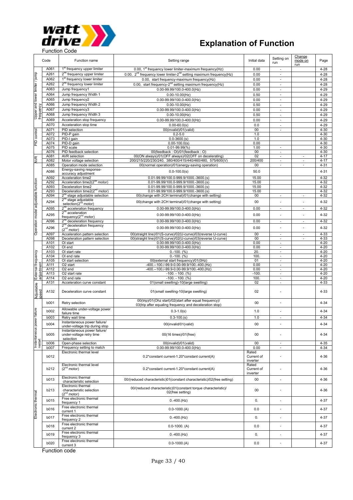

| Code                                   |              | Function name                                                               | Setting range                                                                                                      | Initial data                    | Change<br>Setting on<br>mode on<br>run<br>run |                          |                      |  |
|----------------------------------------|--------------|-----------------------------------------------------------------------------|--------------------------------------------------------------------------------------------------------------------|---------------------------------|-----------------------------------------------|--------------------------|----------------------|--|
|                                        | A061         | 1 <sup>st</sup> frequency upper limiter                                     | 0.00, 1 <sup>st</sup> frequency lower limiter-maximum frequency(Hz)                                                | 0.00                            | $\overline{\phantom{a}}$                      |                          | $4 - 28$             |  |
| Upper and lower limiter / jump         | A261         | 2 <sup>nd</sup> frequency upper limiter                                     | 0.00, 2 <sup>nd</sup> frequency lower limiter-2 <sup>nd</sup> setting maximum frequency(Hz)                        | 0.00                            |                                               |                          | $4 - 28$             |  |
|                                        | A062         | 1 <sup>st</sup> frequency lower limiter                                     | 0.00, start frequency-maximum frequency(Hz)                                                                        | 0.00                            | ÷,                                            |                          | $4 - 28$             |  |
|                                        | A262         | 2 <sup>nd</sup> frequency lower limiter                                     | 0.00, start frequency-2 <sup>nd</sup> setting maximum frequency(Hz)                                                | 0.00                            | $\overline{\phantom{a}}$                      |                          | $4 - 28$             |  |
|                                        | A063         | Jump frequency1                                                             | $0.00 - 99.99/100.0 - 400.0$ (Hz)                                                                                  | 0.00                            | $\overline{a}$                                |                          | $4 - 29$             |  |
|                                        | A064         | Jump frequency Width 1                                                      | $0.00 - 10.00$ (Hz)                                                                                                | 0.50                            | $\overline{\phantom{a}}$                      |                          | $4 - 29$             |  |
|                                        | A065         | Jump frequency2                                                             | 0.00-99.99/100.0-400.0(Hz)                                                                                         | 0.00                            | $\overline{a}$                                |                          | $4 - 29$             |  |
|                                        | A066         | Jump frequency Width 2                                                      | $0.00 - 10.00$ (Hz)                                                                                                | 0.50                            | $\overline{\phantom{a}}$                      |                          | $4 - 29$             |  |
| frequency                              | A067         | Jump frequency3                                                             | 0.00-99.99/100.0-400.0(Hz)                                                                                         | 0.00                            | ÷,                                            |                          | $4 - 29$             |  |
|                                        | A068         | Jump frequency Width 3<br>$0.00 - 10.00$ (Hz)                               |                                                                                                                    | 0.50                            | ÷,                                            |                          | $4 - 29$             |  |
|                                        | A069         | Acceleration stop frequency                                                 | 0.00-99.99/100.0-400.0(Hz)                                                                                         |                                 | 0.00<br>$\sim$                                |                          | $4 - 29$             |  |
|                                        | A070         | Acceleration stop time                                                      | $0.00 - 60.0(s)$                                                                                                   | 0.0                             | $\overline{a}$                                |                          | $4 - 29$             |  |
|                                        | A071         | PID selection                                                               | 00(invalid)/01(valid)                                                                                              | 00                              | $\overline{\phantom{a}}$                      |                          | $4 - 30$             |  |
| PID control                            | A072         | PID-P gain                                                                  | $0.2 - 5.0$                                                                                                        | 1.0                             |                                               |                          | $4 - 30$             |  |
|                                        | A073         | PID-I gain                                                                  | $0.0 - 3600.$ (s)                                                                                                  | 1.0                             |                                               |                          | $4 - 30$             |  |
|                                        | A074         | PID-D gain                                                                  | $0.00 - 100.0(s)$                                                                                                  | 0.00                            |                                               |                          | $4 - 30$             |  |
|                                        | A075         | PID scale                                                                   | $0.01 - 99.99(%)$                                                                                                  | 1.00                            | $\overline{\phantom{a}}$                      |                          | $4 - 30$             |  |
|                                        | A076         | PID feedback selection                                                      | 00(feedback: OI)/01(feedback: O)                                                                                   | 00                              | $\overline{\phantom{a}}$                      |                          | $4 - 30$             |  |
|                                        | A081         | <b>AVR</b> selection                                                        | 00(ON always)/01(OFF always)/02(OFF on decelerating)                                                               | 02                              | $\overline{\phantom{a}}$                      | $\overline{\phantom{a}}$ | $4 - 17$             |  |
| <b>WR</b>                              | A082         | Motor voltage selection                                                     | 200/215/220/230/240, 380/400/415/440/460/480, 575/600(V)                                                           | 200/400                         | $\overline{\phantom{a}}$                      | $\overline{\phantom{a}}$ | $4 - 17$             |  |
|                                        | A085         | Operation mode selection                                                    | 00(normal operation)/01(energy-saving operation)                                                                   | 00                              | $\overline{\phantom{a}}$                      | $\overline{\phantom{a}}$ | $4 - 31$             |  |
|                                        | A086         | Energy-saving response-                                                     | $0.0 - 100.0(s)$                                                                                                   | 50.0                            |                                               |                          | $4 - 31$             |  |
|                                        |              | accuracy adjustment                                                         |                                                                                                                    |                                 |                                               |                          |                      |  |
|                                        | A092         | Acceleration time2                                                          | 0.01-99.99/100.0-999.9/1000.-3600.(s)                                                                              | 15.00                           |                                               |                          | $4 - 32$             |  |
| Operation mode/adjustable function     | A292         | Acceleration time2(2 <sup>nd</sup> motor)<br>Deceleration time2             | 0.01-99.99/100.0-999.9/1000.-3600.(s)<br>0.01-99.99/100.0-999.9/1000.-3600.(s)                                     | 15.00                           |                                               |                          | $4 - 32$<br>$4 - 32$ |  |
|                                        | A093<br>A293 | Deceleration time2(2 <sup>nd</sup> motor)                                   | 0.01-99.99/100.0-999.9/1000.-3600.(s)                                                                              | 15.00<br>15.00                  |                                               |                          | $4 - 32$             |  |
|                                        | A094         | 2 <sup>nd</sup> stage adjustable selection                                  | 00(change with 2CH terminal)/01(change with setting)                                                               | 00                              | $\overline{\phantom{a}}$                      | $\overline{\phantom{a}}$ | 4-32                 |  |
|                                        |              | 2 <sup>nd</sup> stage adjustable                                            |                                                                                                                    |                                 |                                               |                          |                      |  |
|                                        | A294         | selection(2 <sup>nd</sup> motor)                                            | 00(change with 2CH terminal)/01(change with setting)                                                               | 00                              |                                               | ÷,                       | $4 - 32$             |  |
|                                        | A095         | 2 <sup>nd</sup> acceleration frequency                                      | 0.00-99.99/100.0-400.0(Hz)                                                                                         | 0.00                            | $\overline{\phantom{a}}$                      | $\overline{\phantom{a}}$ | $4 - 32$             |  |
|                                        |              | $2nd$ acceleration                                                          |                                                                                                                    |                                 |                                               |                          |                      |  |
|                                        | A295         | frequency(2 <sup>nd</sup> motor)                                            | 0.00-99.99/100.0-400.0(Hz)                                                                                         | 0.00                            | $\overline{a}$                                | $\overline{a}$           | $4 - 32$             |  |
|                                        | A096         | 2 <sup>nd</sup> deceleration frequency                                      | 0.00-99.99/100.0-400.0(Hz)                                                                                         | 0.00                            | $\overline{\phantom{a}}$                      | $\overline{\phantom{a}}$ | $4 - 32$             |  |
|                                        | A296         | 2 <sup>nd</sup> deceleration frequency                                      | $0.00 - 99.99/100.0 - 400.0$ (Hz)                                                                                  | 0.00                            |                                               |                          | $4 - 32$             |  |
|                                        |              | (2 <sup>nd</sup> motor)                                                     |                                                                                                                    |                                 |                                               |                          |                      |  |
|                                        | A097         | Acceleration pattern selection                                              | 00(straight line)/01(S-curve)/02(U-curve)/03(reverse U-curve)                                                      | 00                              | $\overline{a}$                                | $\overline{\phantom{a}}$ | $4 - 33$             |  |
|                                        | A098         | Deceleration pattern selection                                              | 00(straight line)/01(S-curve)/02(U-curve)/03(reverse U-curve)                                                      | 00                              | $\overline{a}$                                | $\overline{a}$           | $4 - 33$             |  |
|                                        | A101         | OI start                                                                    | 0.00-99.99/100.0-400.0(Hz)                                                                                         | 0.00                            | ÷,                                            |                          | $4 - 20$             |  |
|                                        | A102         | OI end                                                                      | $0.00 - 99.99/100.0 - 400.0$ (Hz)                                                                                  | 0.00                            | $\overline{\phantom{a}}$                      |                          | $4 - 20$             |  |
| External frequency<br>adiustment       | A103         | OI start rate                                                               | $0.-100.$ (%)                                                                                                      | 20.                             | $\overline{\phantom{a}}$                      |                          | $4 - 20$             |  |
|                                        | A104<br>A105 | OI end rate<br>OI start selection                                           | $0.-100.$ (%)<br>00(external start frequency)/01(0Hz)                                                              | 100<br>01                       | $\overline{\phantom{a}}$<br>$\sim$            |                          | $4 - 20$<br>$4 - 20$ |  |
|                                        | A111         | -400 .-- 100 ./-99 .9-0 .00-99 .9/100 .- 400 . (Hz)<br>O <sub>2</sub> start |                                                                                                                    | 0.00                            | $\overline{\phantom{a}}$                      |                          | $4 - 20$             |  |
|                                        | A112         | O <sub>2</sub> end                                                          | -400 .-- 100 ./-99.9-0.00-99.9/100 .- 400 .(Hz)                                                                    | 0.00                            | $\overline{\phantom{a}}$                      |                          | $4 - 20$             |  |
|                                        | A113         | O2 start rate<br>$-100. - 100.$ (%)                                         |                                                                                                                    | $-100$                          | $\overline{\phantom{a}}$                      |                          | $4 - 20$             |  |
|                                        | A114         | O2 end rate                                                                 | $-100. - 100.$ (%)                                                                                                 | 100                             | $\overline{\phantom{a}}$                      |                          | $4 - 20$             |  |
|                                        | A131         | Acceleration curve constant                                                 | 01(small swelling)-10(large swelling)                                                                              | 02                              | $\overline{a}$                                |                          | $4 - 33$             |  |
| Adjustable<br>speed                    | A132         | Deceleration curve constant                                                 | 01(small swelling-10(large swelling)                                                                               | 02                              |                                               |                          | $4 - 33$             |  |
|                                        | b001         | Retry selection                                                             | 00(trip)/01(Ohz start)/02(start after equal frequency)/<br>03(trip after equaling frequency and deceleration stop) | 00                              |                                               |                          | $4 - 34$             |  |
|                                        |              | Allowable under-voltage power                                               |                                                                                                                    |                                 |                                               |                          |                      |  |
|                                        | <b>b002</b>  | failure time                                                                | $0.3 - 1.0(s)$                                                                                                     | 1.0                             | $\overline{a}$                                |                          | $4 - 34$             |  |
|                                        | <b>b003</b>  | Retry wait time                                                             | $0.3 - 100(s)$                                                                                                     | 1.0                             | $\sim$                                        |                          | $4 - 34$             |  |
|                                        | b004         | Instantaneous power failure/<br>under-voltage trip during stop              | 00(invalid/01(valid)                                                                                               | 00                              |                                               |                          | $4 - 34$             |  |
| Instantaneous power failure<br>restart | <b>b005</b>  | Instantaneous power failure/<br>under-voltage retry time<br>selection       | 00(16 times)/01(free)                                                                                              | 00                              |                                               |                          | $4 - 34$             |  |
|                                        | b006         | Open-phase selection                                                        | 00(invalid)/01(valid)                                                                                              | 00                              | $\overline{\phantom{a}}$                      |                          | $4 - 35$             |  |
|                                        | <b>b007</b>  | Frequency setting to match                                                  | 0.00-99.99/100.0-400.0(Hz)                                                                                         | 0.00                            | $\overline{\phantom{a}}$                      |                          | $4 - 34$             |  |
|                                        | b012         | Electronic thermal level                                                    | 0.2*constant current-1.20*constant current(A)                                                                      | Rated<br>Current of<br>inverter |                                               |                          | 4-36                 |  |
|                                        | b212         | Electronic thermal level<br>(2 <sup>nd</sup> motor)                         | 0.2*constant current-1.20*constant current(A)                                                                      | Rated<br>Current of             |                                               |                          | 4-36                 |  |
|                                        | b013         | Electronic thermal<br>characteristic selection                              | 00/(reduced characteristic)01(constant characteristic)/02(free setting)                                            | inverter<br>00                  |                                               |                          | $4 - 36$             |  |
|                                        | b213         | Electronic thermal<br>characteristic selection<br>$(2^{nd}$ motor)          | 00/(reduced characteristic)01(constant torque characteristic)/<br>02(free setting)                                 | 00                              |                                               |                          | $4 - 36$             |  |
|                                        | b015         | Free electronic thermal<br>frequency 1                                      | $0.-400.(Hz)$                                                                                                      | 0.                              | ٠                                             |                          | $4 - 37$             |  |
| Electronic thermal                     | b016         | Free electronic thermal<br>current 1                                        | $0.0 - 1000(A)$                                                                                                    | 0.0                             |                                               |                          | $4 - 37$             |  |
|                                        | b017         | Free electronic thermal<br>frequency 2                                      | $0.-400.(Hz)$                                                                                                      | 0.                              | $\overline{\phantom{a}}$                      |                          | 4-37                 |  |
|                                        | b018         | Free electronic thermal<br>current 2                                        | $0.0 - 1000.$ (A)                                                                                                  | 0.0                             |                                               |                          | 4-37                 |  |
|                                        | b019         | Free electronic thermal                                                     | $0.-400.(Hz)$                                                                                                      | 0.                              |                                               |                          |                      |  |
|                                        | b020         | frequency 3<br>Free electronic thermal                                      | $0.0 - 1000(A)$                                                                                                    | 0.0                             | $\overline{\phantom{a}}$                      |                          | 4-37<br>$4 - 37$     |  |
|                                        |              | current 3                                                                   |                                                                                                                    |                                 |                                               |                          |                      |  |

Function code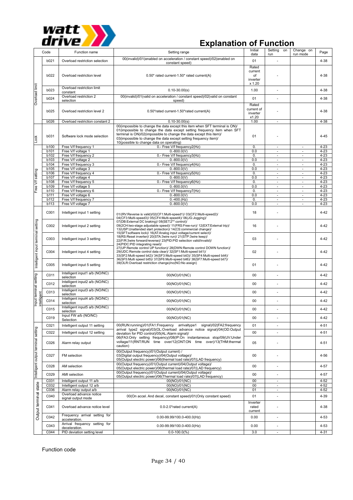

| Code                                |              | Function name                                                  | Setting range                                                                                                                                                                                                                                                                                                                                 |                           | Setting<br>on<br>run                                                                                                                          | Change on<br>run mode                                | Page                 |
|-------------------------------------|--------------|----------------------------------------------------------------|-----------------------------------------------------------------------------------------------------------------------------------------------------------------------------------------------------------------------------------------------------------------------------------------------------------------------------------------------|---------------------------|-----------------------------------------------------------------------------------------------------------------------------------------------|------------------------------------------------------|----------------------|
|                                     | b021         | Overload restriction selection                                 | 00(invalid)/01(enabled on acceleration / constant speed)/02(enabled on<br>constant speed)                                                                                                                                                                                                                                                     | 01                        |                                                                                                                                               |                                                      | 4-38                 |
|                                     |              |                                                                |                                                                                                                                                                                                                                                                                                                                               | Rated                     |                                                                                                                                               |                                                      |                      |
|                                     | b022         | Overload restriction level                                     | 0.50* rated current-1.50* rated current(A)                                                                                                                                                                                                                                                                                                    | current<br>of<br>inverter |                                                                                                                                               |                                                      | 4-38                 |
| Overload limit                      | b023         | Overload restriction limit<br>constant                         | $0.10 - 30.00(s)$                                                                                                                                                                                                                                                                                                                             | x 1.20<br>1.00            |                                                                                                                                               |                                                      | 4-38                 |
|                                     | b024         | Overload restriction 2                                         | 00(invalid)/01(valid on acceleration / constant speed)/02(valid on constant                                                                                                                                                                                                                                                                   | 01                        |                                                                                                                                               |                                                      | 4-38                 |
|                                     |              | selection                                                      | speed)                                                                                                                                                                                                                                                                                                                                        | Rated                     |                                                                                                                                               |                                                      |                      |
|                                     | b025         | Overload restriction level 2                                   | current of<br>inverter<br>x1.20                                                                                                                                                                                                                                                                                                               |                           |                                                                                                                                               | 4-38                                                 |                      |
|                                     | <b>b026</b>  | Overload restriction constant 2                                | $0.10 - 30.00(s)$                                                                                                                                                                                                                                                                                                                             | 1.00                      |                                                                                                                                               |                                                      | 4-38                 |
| Lock                                | b031         | Software lock mode selection                                   | 00(impossible to change the data except this item when SFT terminal is ON)/<br>01(impossible to change the data except setting frequency item when SFT<br>terminal is ON)/02(impossible to change the data except this item)/<br>03(impossible to change the data except setting frequency item)/<br>10(possible to change data on operating) | 01                        |                                                                                                                                               |                                                      | $4 - 45$             |
|                                     | b100         | Free V/f frequency 1                                           | 0.- Free V/f frequency2(Hz)                                                                                                                                                                                                                                                                                                                   | 0.                        |                                                                                                                                               | $\overline{\phantom{a}}$                             | $4 - 23$             |
|                                     | b101<br>b102 | Free V/f voltage 1<br>Free V/f frequency 2                     | $0.-800.0($ V)<br>0.- Free V/f frequency3(Hz)                                                                                                                                                                                                                                                                                                 | 0.0<br>0.                 | $\overline{\phantom{a}}$<br>$\blacksquare$                                                                                                    | $\overline{\phantom{a}}$<br>$\overline{\phantom{a}}$ | $4 - 23$<br>$4 - 23$ |
|                                     | b103         | Free V/f voltage 2                                             | $0.-800.0(V)$                                                                                                                                                                                                                                                                                                                                 | 0.0                       | $\overline{\phantom{a}}$                                                                                                                      | $\overline{\phantom{a}}$                             | $4 - 23$             |
|                                     | <b>b104</b>  | Free V/f frequency 3                                           | 0.- Free V/f frequency4(Hz)                                                                                                                                                                                                                                                                                                                   | 0.                        | $\blacksquare$                                                                                                                                | $\overline{\phantom{a}}$                             | $4 - 23$             |
|                                     | b105         | Free V/f voltage 3                                             | $0.-800.0(V)$                                                                                                                                                                                                                                                                                                                                 | 0.0                       | $\overline{\phantom{a}}$                                                                                                                      | $\overline{\phantom{a}}$                             | $4 - 23$             |
| Free V/f setting                    | b106<br>b107 | Free V/f frequency 4<br>Free V/f voltage 4                     | 0.- Free V/f frequency5(Hz)<br>$0.-800.0(V)$                                                                                                                                                                                                                                                                                                  | 0.                        | $\overline{\phantom{a}}$                                                                                                                      | $\sim$                                               | $4 - 23$<br>$4 - 23$ |
|                                     | <b>b108</b>  | Free V/f frequency 5                                           | 0.- Free V/f frequency6(Hz)                                                                                                                                                                                                                                                                                                                   | 0.                        | $\omega$                                                                                                                                      | $\omega$                                             | $4 - 23$             |
|                                     | b109         | Free V/f voltage 5                                             | $0.-800.0($ V)                                                                                                                                                                                                                                                                                                                                | 0.0                       | $\overline{\phantom{a}}$                                                                                                                      | $\overline{\phantom{a}}$                             | $4 - 23$             |
|                                     | b110         | Free V/f frequency 6                                           | 0.- Free V/f frequency7(Hz)                                                                                                                                                                                                                                                                                                                   | $\mathbf{0}$              | $\omega$                                                                                                                                      | $\omega$                                             | $4 - 23$             |
|                                     | b111         | Free V/f voltage 6                                             | $0.-800.0(V)$                                                                                                                                                                                                                                                                                                                                 |                           | $\overline{\phantom{a}}$                                                                                                                      | $\overline{\phantom{a}}$                             | $4 - 23$             |
|                                     | b112<br>b113 | Free V/f frequency 7<br>Free V/f voltage 7                     | $0.-400.(Hz)$<br>$0.-800.0($ V)                                                                                                                                                                                                                                                                                                               |                           |                                                                                                                                               |                                                      | $4 - 23$<br>$4 - 23$ |
|                                     |              |                                                                |                                                                                                                                                                                                                                                                                                                                               |                           |                                                                                                                                               |                                                      |                      |
|                                     | C001         | Intelligent input 1 setting                                    | 01/(RV:Reverse is valid)/02(CF1:Multi-speed1)/ 03(CF2:Multi-speed2)/<br>04(CF3:Multi-speed3)/ 05(CF4:Multi-speed4)/ 06(JG:Jogging)/<br>07(DB:External DC braking)/ 08(SET:2 <sup>nd</sup> control)/                                                                                                                                           | 18                        | 0.0<br>$\overline{\phantom{a}}$<br>$\overline{\phantom{a}}$<br>0.0<br>0.<br>$\omega$<br>$\omega$<br>0.0<br>$\overline{\phantom{a}}$<br>$\sim$ |                                                      | $4 - 42$             |
|                                     | C002         | Intelligent input 2 setting                                    | 09(2CH:two-stage adjustable speed)/ 11(FRS:Free-run)/ 12(EXT:External trip)/<br>13(USP: Unattended start protection)/ 14(CS: commercial change)/<br>15(SFT:software lock)/ 16(AT:Analog input voltage/current select)/                                                                                                                        | 16                        |                                                                                                                                               |                                                      | $4 - 42$             |
|                                     | C003         | Intelligent input 3 setting                                    | 18(RS:Reset inverter)/ 20(STA:3wire run)/ 21(STP:3wire keep)/<br>22(F/R:3wire forward/reverse)/ 23(PID:PID selection valid/invalid)/<br>24(PIDC:PID integrating reset)/                                                                                                                                                                       | 03                        |                                                                                                                                               |                                                      | $4 - 42$             |
| lntelligent input terminal setting  | C004         | Intelligent input 4 setting                                    | 27(UP:Remote control UP function)/ 28(DWN:Remote control DOWN function)/<br>29(UDC:Remote control data clear)/ 32(SF1:Multi-speed bit1)/<br>33(SF2:Multi-speed bit2)/ 34(SF3:Multi-speed bit3)/ 35(SF4:Multi-speed bit4)/<br>36(SF5:Multi speed bit5)/ 37(SF6:Multi-speed bit6)/ 38(SF7:Multi-speed bit7)/                                    | 02                        |                                                                                                                                               |                                                      | 4-42                 |
|                                     | C005         | Intelligent input 5 setting                                    | 39(OLR:Overload restriction change)/no(NO:No assign)                                                                                                                                                                                                                                                                                          | 01                        |                                                                                                                                               |                                                      | 4-42                 |
|                                     | C011         | Intelligent input1 a/b (NO/NC)<br>selection                    | 00(NO)/01(NC)                                                                                                                                                                                                                                                                                                                                 | 00                        |                                                                                                                                               |                                                      | $4 - 42$             |
| Input terminal setting              | C012         | Intelligent input2 a/b (NO/NC)<br>selection                    | 00(NO)/01(NC)                                                                                                                                                                                                                                                                                                                                 | 00                        | ÷,                                                                                                                                            |                                                      | 4-42                 |
| Tent                                | C013         | Intelligent input3 a/b (NO/NC)<br>selection                    | 00(NO)/01(NC)                                                                                                                                                                                                                                                                                                                                 | 00                        | ä,                                                                                                                                            |                                                      | 4-42                 |
| ellie<br>t                          | C014         | Intelligent input4 a/b (NO/NC)<br>selection                    | 00(NO)/01(NC)                                                                                                                                                                                                                                                                                                                                 | 00                        |                                                                                                                                               |                                                      | 4-42                 |
|                                     | C015         | Intelligent input5 a/b (NO/NC)<br>selection                    | 00(NO)/01(NC)                                                                                                                                                                                                                                                                                                                                 | 00                        |                                                                                                                                               |                                                      | $4 - 42$             |
|                                     | C019         | Input FW a/b (NO/NC)<br>Selection                              | 00(NO)/01(NC)                                                                                                                                                                                                                                                                                                                                 | 00                        |                                                                                                                                               |                                                      | $4 - 42$             |
|                                     | C021         | Intelligent output 11 setting                                  | 00(RUN:running)/01(FA1:Frequency arrivaltype1 signal)/02(FA2:frequency                                                                                                                                                                                                                                                                        | 01                        |                                                                                                                                               |                                                      | $4 - 51$             |
|                                     | C022         | Intelligent output 12 setting                                  | arrival type2 signal)/03(OL:Overload advance notice signal)/04(OD:Output<br>deviation for PID control)/05(AL:Alarm signal)/                                                                                                                                                                                                                   | 00                        |                                                                                                                                               |                                                      | $4 - 51$             |
|                                     | C026         | Alarm relay output                                             | 06(FA3:Only setting frequency)/08(IP:On instantaneous stop/09(UV:Under<br>voltage/11(RNT:RUN time over/12(ONT:ON time over)/13(THM:thermal<br>caution)                                                                                                                                                                                        | 05                        | ä,                                                                                                                                            |                                                      | 4-51                 |
| Intelligent output terminal setting | C027         | FM selection                                                   | 00(Output frequency)/01(Output current) /<br>03(Digital output frequency)/04(Output voltage)/<br>05(Output electric power)/06(thermal load rate)/07(LAD frequency)                                                                                                                                                                            | 00                        |                                                                                                                                               |                                                      | 4-56                 |
|                                     | C028         | AM selection                                                   | 00(Output frequency)/01(Output current)/04(Output voltage)/<br>05(Output electric power)/06(thermal load rate)/07(LAD frequency)                                                                                                                                                                                                              | 00                        | ä,                                                                                                                                            |                                                      | 4-57                 |
|                                     | C029         | AMI selection                                                  | 00(Output frequency)/01(Output current)/04(Output voltage)/<br>05(Output electric power)/06(Thermal load rate)/07(LAD frequency)                                                                                                                                                                                                              | 00                        | ÷,                                                                                                                                            |                                                      | 4-57                 |
|                                     | C031         | Intelligent output 11 a/b                                      | 00(NO)/01(NC)                                                                                                                                                                                                                                                                                                                                 | 00                        | $\overline{\phantom{a}}$                                                                                                                      |                                                      | $4 - 52$             |
|                                     | C032<br>C036 | Intelligent output 12 a/b<br>Alarm relay output a/b            | 00(NO)/01(NC)<br>00(NO)/01(NC)                                                                                                                                                                                                                                                                                                                | 00<br>01                  | $\overline{\phantom{a}}$                                                                                                                      |                                                      | $4 - 52$<br>$4 - 52$ |
|                                     | C040         | Overload advance notice                                        | 00(On accel. And decel, constant speed)/01(Only constant speed)                                                                                                                                                                                                                                                                               | 01                        | ä,                                                                                                                                            |                                                      | 4-39                 |
|                                     |              | signal output mode                                             |                                                                                                                                                                                                                                                                                                                                               | Inverter                  |                                                                                                                                               |                                                      |                      |
| Output terminal state               | C041         | Overload advance notice level<br>Frequency arrival setting for | 0.0-2.0*rated current(A)                                                                                                                                                                                                                                                                                                                      | rated<br>current          |                                                                                                                                               |                                                      | 4-38                 |
|                                     | C042         | acceleration.<br>Arrival frequency setting for                 | $0.00 - 99.99/100.0 - 400.0$ (Hz)                                                                                                                                                                                                                                                                                                             | 0.00                      | ä,                                                                                                                                            |                                                      | 4-53                 |
|                                     | C043         | deceleration.                                                  | $0.00 - 99.99/100.0 - 400.0$ (Hz)                                                                                                                                                                                                                                                                                                             | 0.00                      | ÷,                                                                                                                                            |                                                      | 4-53                 |
|                                     | C044         | PID deviation setting level                                    | $0.0 - 100.0(%)$                                                                                                                                                                                                                                                                                                                              | 3.0                       |                                                                                                                                               |                                                      | $4 - 31$             |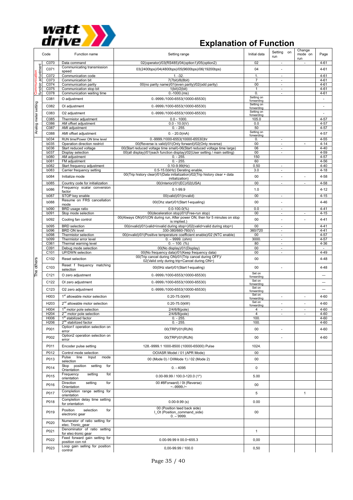

| Code                       |                            | Function name                                                             | Setting range                                                                                                                         | Initial data             | Setting on<br>run                  | Change<br>mode on<br>run | Page                     |
|----------------------------|----------------------------|---------------------------------------------------------------------------|---------------------------------------------------------------------------------------------------------------------------------------|--------------------------|------------------------------------|--------------------------|--------------------------|
|                            | C070                       | Data command                                                              | 02(operator)/03(RS485)/04(option1)/05(option2)                                                                                        | 02                       | $\bar{a}$                          |                          | $4 - 61$                 |
| function adjustment<br>ion | C071                       | Communicating transmission<br>speed                                       | 03(2400bps)/04(4800bps)/05(9600bps)/06(19200bps)                                                                                      | 04                       |                                    |                          | $4 - 61$                 |
|                            | C072                       | Communication code                                                        | $1. -32.$                                                                                                                             | 1.                       | $\sim$                             |                          | $4 - 61$                 |
|                            | C073                       | Communication bit                                                         | 7(7bit)/8(8bit)                                                                                                                       | $\overline{7}$           | ÷,                                 |                          | $4 - 61$                 |
|                            | C074<br>C075               | Communication parity<br>Communication stop bit                            | 00(no parity name)/01(even parity)/02(odd parity)<br>1(bit)/2(bit)                                                                    | 00<br>1                  | ÷,<br>$\overline{\phantom{a}}$     |                          | $4 - 61$<br>$4 - 61$     |
|                            | C078                       | Communication waiting time                                                | $0.-1000.(ms)$                                                                                                                        | 0.                       | $\sim$                             |                          | $4 - 61$                 |
|                            | C081                       | O adjustment                                                              | 0.-9999./1000-6553(10000-65530)                                                                                                       | Setting on               |                                    |                          | $\overline{\phantom{a}}$ |
|                            |                            |                                                                           |                                                                                                                                       | forwarding<br>Setting on |                                    |                          |                          |
|                            | C082                       | OI adjustment                                                             | 0.-9999./1000-6553(10000-65530)                                                                                                       | forwarding               |                                    |                          | ÷,                       |
|                            | C083                       | O2 adjustment                                                             | 0.-9999./1000-6553(10000-65530)                                                                                                       | Setting on<br>forwarding |                                    |                          | $\overline{\phantom{m}}$ |
|                            | C085                       | Thermistor adjustment                                                     | $0.0 - 1000$                                                                                                                          | 105.0                    |                                    |                          | $4 - 57$                 |
|                            | C086                       | AM offset adjustment                                                      | $0.0 - 10.0(V)$                                                                                                                       | 0.0                      |                                    |                          | $4 - 57$                 |
| Analog meter setting       | C087                       | AMI adjustment                                                            | $0. - 255.$                                                                                                                           | 50<br>Setting on         |                                    |                          | $4 - 57$                 |
|                            | C088                       | AMI offset adjustment                                                     | $0. - 20.0$ (mA)                                                                                                                      | forwarding               |                                    |                          | $4 - 57$                 |
|                            | <b>b034</b>                | RUN time/Power ON time level                                              | 0.-9999./1000-6553(10000-65530)hr                                                                                                     | 0.                       | $\sim$                             | $\times$                 | $4 - 55$                 |
|                            | b035<br><b>b036</b>        | Operation direction restrict<br>Start reduced voltage                     | 00(Reverse is valid)/01(Only forward)/02(Only reverse)<br>00 (Start reduced voltage time small)-06 (Start reduced voltage time large) | 00<br>06                 | $\overline{\phantom{a}}$<br>$\sim$ |                          | $4 - 14$<br>$4 - 40$     |
|                            | <b>b037</b>                | Display selection                                                         | 00(all display)/01(each function display)/02(User setting / main setting)                                                             | 00                       | $\blacksquare$                     |                          | $4 - 59$                 |
|                            | b080                       | AM adjustment                                                             | $0. - 255$                                                                                                                            | 150                      |                                    |                          | $4 - 57$                 |
|                            | b081                       | FM adjustment                                                             | $0. - 255$                                                                                                                            | 60                       |                                    |                          | $4 - 56$                 |
|                            | <b>b082</b><br><b>b083</b> | Start frequency adjustment<br>Carrier frequency setting                   | $0.10 - 9.99$ (Hz)<br>0.5-15.0(kHz) Derating enable,                                                                                  | 0.50<br>3.0              | $\overline{\phantom{a}}$<br>÷,     |                          | $4 - 40$<br>$4 - 18$     |
|                            |                            |                                                                           | 00(Trip history clear)/01(Data initialization)/02(Trip history clear + data                                                           |                          |                                    |                          |                          |
|                            | <b>b084</b>                | Initialize mode                                                           | initialization)                                                                                                                       | 00                       |                                    |                          | $4 - 58$                 |
|                            | b085                       | Country code for initialization                                           | 00(Interior)/01(EC)/02(USA)                                                                                                           | 00                       | $\overline{\phantom{a}}$           |                          | $4 - 58$                 |
|                            | <b>b086</b>                | Frequency scalar conversion<br>factor                                     | $0.1 - 99.9$                                                                                                                          | 1.0                      |                                    |                          | $4 - 12$                 |
|                            | <b>b087</b>                | STOP key enable                                                           | 00(valid)/01(invalid)                                                                                                                 | 00                       | $\overline{\phantom{a}}$           |                          | $4 - 15$                 |
|                            | <b>b088</b>                | Resume on FRS cancellation                                                | 00(Ohz start)/01(Start f-equaling)                                                                                                    | 00                       | $\overline{\phantom{a}}$           |                          | $4 - 46$                 |
|                            | b090                       | mode                                                                      | $0.0 - 100.0(%$                                                                                                                       | 0.0                      | ÷.                                 |                          | $4 - 41$                 |
|                            | b091                       | BRD usage ratio<br>Stop mode selection                                    | 00(deceleration stop)/01(Free-run stop)                                                                                               | 00                       | $\overline{\phantom{a}}$           | $\overline{\phantom{a}}$ | $4 - 15$                 |
|                            |                            |                                                                           | 00(Always ON)/01(ON during run, After power ON, then for 5 minutes on stop                                                            | 00                       |                                    |                          |                          |
|                            | b092                       | Cooling fan control                                                       | is implied.)                                                                                                                          |                          | $\overline{\phantom{a}}$           |                          | $4 - 41$                 |
|                            | b095<br>b096               | <b>BRD</b> selection<br><b>BRD ON level</b>                               | 00(invalid)/01(valid <invalid during="" stop="">)/02(valid<valid during="" stop="">)<br/>330-380/660-760(V</valid></invalid>          | 00<br>360/720            | $\overline{\phantom{m}}$<br>÷,     |                          | $4 - 41$<br>$4 - 41$     |
|                            | <b>b098</b>                | Thermistor selection                                                      | 00(invalid)/01(Positive temperature coefficient enable)/02 (NTC enable)                                                               | 00                       | $\overline{\phantom{a}}$           |                          | $4 - 57$                 |
|                            | b099                       | Thermistor error level                                                    | $0. - 9999.$ (ohm)                                                                                                                    | 3000                     | ÷.                                 |                          | $4 - 57$                 |
|                            | C061                       | Thermal warning level                                                     | $0. - 100.$ (%)                                                                                                                       | 80                       | ٠                                  |                          | $4 - 36$                 |
|                            | C091                       | Debug mode selection                                                      | 00(No display)/01(Display)                                                                                                            | 00                       | $\bar{a}$                          |                          | $\sim$                   |
|                            | C101                       | UP/DWN selection                                                          | 00(No frequency data)/01(Keep frequency data)<br>00(Trip cancel during ON)/01(Trip cancel during OFF)/                                | 00                       | $\overline{\phantom{a}}$           |                          | $4 - 49$                 |
| The others                 | C102                       | Reset selection                                                           | 02(Valid only during trip <cancel during="" on="">)</cancel>                                                                          | 00                       |                                    |                          | 4-48                     |
|                            | C103                       | Reset f frequency matching                                                | 00(0Hz start)/01(Start f-equaling)                                                                                                    | 00                       |                                    |                          | $4 - 48$                 |
|                            |                            | selection                                                                 |                                                                                                                                       |                          |                                    |                          |                          |
|                            | C121                       | O zero adjustment                                                         | 0.-9999./1000-6553(10000-65530)                                                                                                       | Set on<br>forwarding     |                                    |                          | -                        |
|                            | C122                       | OI zero adjustment                                                        | 0.-9999./1000-6553(10000-65530)                                                                                                       | Set on<br>forwarding     |                                    |                          |                          |
|                            | C123                       | O2 zero adjustment                                                        | 0.-9999./1000-6553(10000-65530)                                                                                                       | Set on                   |                                    |                          |                          |
|                            |                            |                                                                           |                                                                                                                                       | forwarding<br>Set on     |                                    |                          |                          |
|                            | H003                       | 1 <sup>st</sup> allowable motor selection                                 | $0.20 - 75.0$ (kW)                                                                                                                    | forwarding               |                                    |                          | $4 - 60$                 |
|                            | H203                       | 2 <sup>nd</sup> allowable motor selection                                 | $0.20 - 75.0$ (kW)                                                                                                                    | Set on<br>forwarding     |                                    |                          | $4 - 60$                 |
|                            | H004                       | 1 <sup>st</sup> motor pole selection                                      | 2/4/6/8(pole)                                                                                                                         | 4                        | ٠                                  | ×.                       | $4 - 60$                 |
|                            | H <sub>204</sub><br>H006   | 2 <sup>nd</sup> motor pole selection<br>1 <sup>st</sup> stabilized factor | $2/4/6/8$ (pole)<br>$0. - 255.$                                                                                                       | 4<br>100.                |                                    |                          | $4 - 60$<br>$4 - 60$     |
|                            | H206                       | 2 <sup>nd</sup> stabilized factor                                         | $0. - 255.$                                                                                                                           | 100.                     |                                    |                          | $4 - 60$                 |
|                            | P001                       | Option1 operation selection on                                            | 00(TRP)/01(RUN)                                                                                                                       | 00                       |                                    |                          | $4 - 60$                 |
|                            |                            | error                                                                     |                                                                                                                                       |                          |                                    |                          |                          |
|                            | P002                       | Option2 operation selection on<br>error                                   | 00(TRP)/01(RUN)                                                                                                                       | 00                       |                                    |                          | $4 - 60$                 |
|                            | P011                       | Encoder pulse setting                                                     | 128.-9999.1 1000-8500 (10000-65000) Pulse                                                                                             | 1024.                    |                                    |                          |                          |
|                            |                            |                                                                           |                                                                                                                                       |                          |                                    |                          |                          |
|                            | P012                       | Control mode selection<br>Pulse line Input mode                           | OOIASR Model / 01 (APR Mode)                                                                                                          | 00                       |                                    |                          |                          |
|                            | P013                       | selection                                                                 | 00 (Mode 0) / OIIMode 1) / 02 (Mode 2)                                                                                                | 00                       |                                    |                          |                          |
|                            | P014                       | Stop position setting<br>for                                              | $0. -4095$                                                                                                                            | $\mathbf 0$              |                                    |                          |                          |
|                            |                            | Orientation                                                               |                                                                                                                                       |                          |                                    |                          |                          |
|                            | P015                       | Frequency<br>setting<br>fot<br>orientation                                | $0.00 - 99.99 / 100.0 - 120.0$ (1*)                                                                                                   | 5.00                     |                                    |                          |                          |
|                            |                            | Direction<br>setting<br>for                                               | 00 #8Forward) / 0t (Reverse)                                                                                                          |                          |                                    |                          |                          |
|                            | P016                       | Orientation                                                               | $\sim$ -9999./ $\sim$                                                                                                                 | $00\,$                   |                                    |                          |                          |
|                            | P017                       | Completion range setting for<br>orientation                               |                                                                                                                                       | 5                        |                                    | $\mathbf{1}$             |                          |
|                            |                            | Completion delay time setting                                             |                                                                                                                                       |                          |                                    |                          |                          |
|                            | P018                       | for orientation                                                           | $0.00 - 9.99$ (s)                                                                                                                     | 0.00                     |                                    |                          |                          |
|                            | P019                       | Position<br>selection<br>for<br>electronic gear                           | 00 (Position teed back side)<br>I Ot (Position command side)                                                                          | 00                       |                                    |                          |                          |
|                            | P020                       | Numerator of ratio setting for                                            | $0. - 9999.$                                                                                                                          |                          |                                    |                          |                          |
|                            |                            | etec. Tronic_gear<br>Denominator of ratio setting                         |                                                                                                                                       |                          |                                    |                          |                          |
|                            | P021                       | for elec-tronic gear                                                      |                                                                                                                                       | $\mathbf{1}$             |                                    |                          |                          |
|                            | P022                       | Feed forward gain setting for                                             | 0.00-99.99 lt 00.0~655.3                                                                                                              | 0,00                     |                                    |                          |                          |
|                            |                            | position con rot<br>Loop gain selling for position                        |                                                                                                                                       |                          |                                    |                          |                          |
|                            | P023                       | control                                                                   | 0,00-99.99 / 100.0                                                                                                                    | 0,50                     |                                    |                          |                          |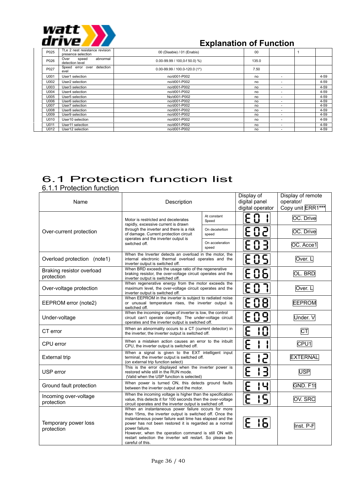

| P025 | Tt.e 2 nest resistance revision<br>presence selection | 00 (Diaabie) / 01 (Enabis)           | 00    |                          |          |
|------|-------------------------------------------------------|--------------------------------------|-------|--------------------------|----------|
| P026 | abnormal<br>speed<br>Over<br>detection level          | $0.00 - 99.99 / 100.0 - f 50.0$ ) %) | 135.0 |                          |          |
| P027 | detection<br>Speed error over<br>evel                 | $0.00 - 99.99 / 100.0 - 120.0$ (1*)  | 7.50  |                          |          |
| U001 | User1 selection                                       | no/d001-P002                         | no    |                          | $4 - 59$ |
| U002 | User2 selection                                       | no/d001-P002                         | no    |                          | $4 - 59$ |
| U003 | User3 selection                                       | no/d001-P002                         | no    | $\overline{\phantom{a}}$ | $4 - 59$ |
| U004 | User4 selection                                       | no/d001-P002                         | no    | $\overline{\phantom{a}}$ | 4-59     |
| U005 | User5 selection                                       | No/d001-P002                         | no    | $\overline{\phantom{a}}$ | $4 - 59$ |
| U006 | User <sub>6</sub> selection                           | no/d001-P002                         | no    | $\overline{\phantom{a}}$ | $4 - 59$ |
| U007 | User7 selection                                       | no/d001-P002                         | no    | $\overline{\phantom{a}}$ | $4 - 59$ |
| U008 | User8 selection                                       | no/d001-P002                         | no    | $\overline{\phantom{a}}$ | $4 - 59$ |
| U009 | User9 selection                                       | no/d001-P002                         | no    | $\overline{\phantom{a}}$ | $4 - 59$ |
| U010 | User10 selection                                      | no/d001-P002                         | no    | $\overline{\phantom{a}}$ | $4 - 59$ |
| U011 | User11 selection                                      | no/d001-P002                         | no    | $\overline{\phantom{a}}$ | $4 - 59$ |
| U012 | User12 selection                                      | no/d001-P002                         | no    | $\overline{\phantom{a}}$ | $4 - 59$ |

# 6.1 Protection function list

6.1.1 Protection function

| Name                                    | Description                                                                                                                                                                                                                                                                                                                                                                                       |                          |                 | Display of remote<br>operator/<br>Copy unit ERR1*** |
|-----------------------------------------|---------------------------------------------------------------------------------------------------------------------------------------------------------------------------------------------------------------------------------------------------------------------------------------------------------------------------------------------------------------------------------------------------|--------------------------|-----------------|-----------------------------------------------------|
|                                         | Motor is restricted and decelerates<br>rapidly, excessive current is drawn                                                                                                                                                                                                                                                                                                                        | At constant<br>Speed     | E 0 -           | OC. Drive                                           |
| Over-current protection                 | through the inverter and there is a risk<br>of damage. Current protection circuit<br>operates and the inverter output is                                                                                                                                                                                                                                                                          | On decelertion<br>speed  | E 0 2           | OC. Drive                                           |
|                                         | switched off.                                                                                                                                                                                                                                                                                                                                                                                     | On acceleration<br>speed | E 0 3           | OC. Acce1                                           |
| Overload protection (note1)             | When the Inverter detects an overload in the motor, the<br>internal electronic thermal overload operates and the<br>inverter output is switched off.                                                                                                                                                                                                                                              |                          | E 0 S           | Over. L                                             |
| Braking resistor overload<br>protection | When BRD exceeds the usage ratio of the regenerative<br>braking resistor, the over-voltage circuit operates and the<br>inverter output is switched off.                                                                                                                                                                                                                                           |                          | E06             | OL. BRD                                             |
| Over-voltage protection                 | When regenerative energy from the motor exceeds the<br>maximum level, the over-voltage circuit operates and the<br>inverter output is switched off.                                                                                                                                                                                                                                               |                          | E 0 7           | Over. L                                             |
| EEPROM error (note2)                    | When EEPROM in the inverter is subject to radiated noise<br>or unusual temperature rises, the inverter output is<br>switched off.                                                                                                                                                                                                                                                                 |                          | E08             | <b>EEPROM</b>                                       |
| Under-voltage                           | When the incoming voltage of inverter is low, the control<br>circuit can't operate correctly. The under-voltage circuit<br>operates and the inverter output is switched off.                                                                                                                                                                                                                      | E 0 9                    | Under. V        |                                                     |
| CT error                                | When an abnormality occurs to a CT (current detector) in<br>the inverter, the inverter output is switched off.                                                                                                                                                                                                                                                                                    |                          | Բ<br>! $\Gamma$ | СT                                                  |
| CPU error                               | When a mistaken action causes an error to the inbuilt<br>CPU, the inverter output is switched off.                                                                                                                                                                                                                                                                                                |                          | ႕               | CPU1                                                |
| <b>External trip</b>                    | When a signal is given to the EXT intelligent input<br>terminal, the inverter output is switched off.<br>(on external trip function select)                                                                                                                                                                                                                                                       |                          | F               | <b>EXTERNAL</b>                                     |
| USP error                               | This is the error displayed when the inverter power is<br>restored while still in the RUN mode.<br>(Valid when the USP function is selected)                                                                                                                                                                                                                                                      |                          | F               | <b>USP</b>                                          |
| Ground fault protection                 | When power is turned ON, this detects ground faults<br>between the inverter output and the motor.                                                                                                                                                                                                                                                                                                 |                          | Ч<br>۴          | GND. F1t                                            |
| Incoming over-voltage<br>protection     | When the incoming voltage is higher than the specification<br>value, this detects it for 100 seconds then the over-voltage<br>circuit operates and the inverter output is switched off.                                                                                                                                                                                                           |                          | ۴<br>15         | OV. SRC                                             |
| Temporary power loss<br>protection      | When an instantaneous power failure occurs for more<br>than 15ms, the inverter output is switched off. Once the<br>instantaneous power failure wait time has elapsed and the<br>power has not been restored it is regarded as a normal<br>power failure.<br>However, when the operation command is still ON with<br>restart selection the inverter will restart. So please be<br>careful of this. |                          | E 161           | Inst. P-F                                           |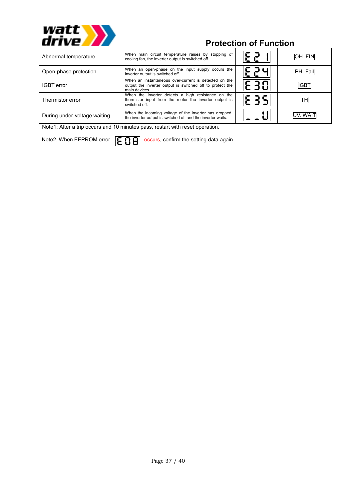

## **Protection of Function**

| Abnormal temperature         | When main circuit temperature raises by stopping of<br>cooling fan, the inverter output is switched off.                            | ہم - | OH. FIN  |
|------------------------------|-------------------------------------------------------------------------------------------------------------------------------------|------|----------|
| Open-phase protection        | When an open-phase on the input supply occurs the<br>inverter output is switched off.                                               | コロ   | PH. Fail |
| <b>IGBT</b> error            | When an instantaneous over-current is detected on the<br>output the inverter output is switched off to protect the<br>main devices. | E 30 | IIGB1    |
| Thermistor error             | When the Inverter detects a high resistance on the<br>thermistor input from the motor the inverter output is<br>switched off.       |      | TН       |
| During under-voltage waiting | When the incoming voltage of the inverter has dropped,<br>the inverter output is switched off and the inverter waits.               |      | UV. WAIT |

Note1: After a trip occurs and 10 minutes pass, restart with reset operation.

Note2: When EEPROM error  $\boxed{E \cdot B}$  occurs, confirm the setting data again.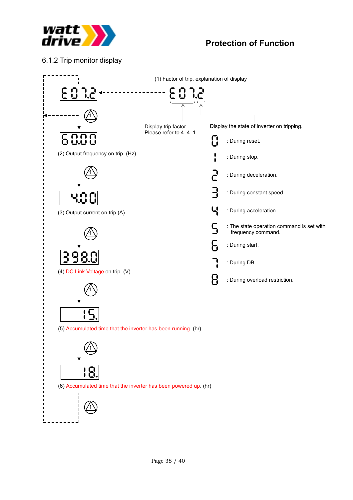

### 6.1.2 Trip monitor display

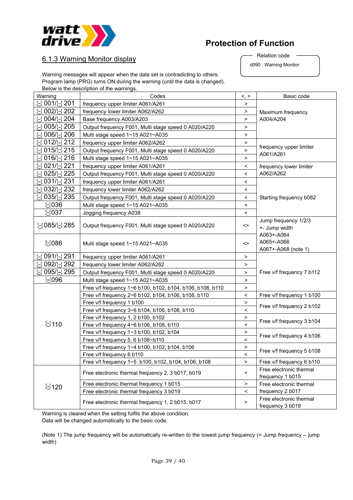

### **Protection of Function**

d090 : Warning Monitor Relation code

### 6.1.3 Warning Monitor display

Warning messages will appear when the data set is contradicting to others. Program lamp (PRG) turns ON during the warning (until the data is changed). Below is the description of the warnings.

| Warning                     | Codes                                                     | $\lt$ , $>$              | Basic code                                      |
|-----------------------------|-----------------------------------------------------------|--------------------------|-------------------------------------------------|
| $001/ $ <sup>-</sup> $ 201$ | frequency upper limiter A061/A261                         | $\geq$                   |                                                 |
| $002/$  -  202              | frequency lower limiter A062/A262                         | >                        | Maximum frequency                               |
| $004/ - 204 $               | Base frequency A003/A203                                  | $\,$                     | A004/A204                                       |
| $005/ - 205 $               | Output frequency F001, Multi stage speed 0 A020/A220      | $\,$                     |                                                 |
| $006/$  - $206$             | Multi stage speed 1~15 A021~A035                          | $\,>$                    |                                                 |
| $012/ - 212 $               | frequency upper limiter A062/A262                         | $\,$                     |                                                 |
| $015/$ $\frac{1}{2}$ 215    | Output frequency F001, Multi stage speed 0 A020/A220      | $\,$                     | frequency upper limiter                         |
| $016/ -216$                 | Multi stage speed 1~15 A021~A035                          | $\,$                     | A061/A261                                       |
| 021/  1221                  | frequency upper limiter A061/A261                         | $\,<\,$                  | frequency lower limiter                         |
| $025/ - 225 $               | Output frequency F001, Multi stage speed 0 A020/A220      | $\,<\,$                  | A062/A262                                       |
| $031/ -231$                 | frequency upper limiter A061/A261                         | $\,<\,$                  |                                                 |
| $032/$  -  232              | frequency lower limiter A062/A262                         | $\overline{\phantom{a}}$ |                                                 |
| $035/$ - $235$              | Output frequency F001, Multi stage speed 0 A020/A220      | $\,<\,$                  | Starting frequency b082                         |
| $\lfloor$ -1036             | Multi stage speed 1~15 A021~A035                          | $\,<\,$                  |                                                 |
| $ $ -1037                   | Jogging frequency A038                                    | $\,<\,$                  |                                                 |
| 님 085/닌 285                 | Output frequency F001, Multi stage speed 0 A020/A220      | <>                       | Jump frequency 1/2/3<br>+- Jump width           |
| $\lfloor$ 086               | Multi stage speed 1~15 A021~A035                          | $\dot{\sim}$             | A063+-A064<br>A065+-A066<br>A067+-A068 (note 1) |
| $091/ -291$                 | frequency upper limiter A061/A261                         | $\mathbf{r}$             |                                                 |
| $092/$  -  292              | frequency lower limiter A062/A262                         | $\, > \,$                |                                                 |
| $095/ -295$                 | Output frequency F001, Multi stage speed 0 A020/A220      | $\,$                     | Free v/f frequency 7 b112                       |
| $\lfloor$ -1096             | Multi stage speed 1~15 A021~A035                          | $\, >$                   |                                                 |
|                             | Free v/f frequency 1~6 b100, b102, b104, b106, b108, b110 | $\,$                     |                                                 |
|                             | Free v/f frequency 2~6 b102, b104, b106, b108, b110       | $\,<\,$                  | Free v/f frequency 1 b100                       |
|                             | Free v/f frequency 1 b100                                 | $\,$                     | Free v/f frequency 2 b102                       |
|                             | Free v/f frequency 3~6 b104, b106, b108, b110             | $\,<$                    |                                                 |
|                             | Free v/f frequency 1, 2 b100, b102                        | $\,$                     | Free v/f frequency 3 b104                       |
| $\mathsf{L}$ 110            | Free v/f frequency 4~6 b106, b108, b110                   | $\overline{\phantom{a}}$ |                                                 |
|                             | Free v/f frequency 1~3 b100, b102, b104                   | $\,$                     | Free v/f frequency 4 b106                       |
|                             | Free v/f frequency 5, 6 b108~b110                         | $\,<\,$                  |                                                 |
|                             | Free v/f frequency 1~4 b100, b102, b104, b106             | $\,$                     | Free v/f frequency 5 b108                       |
|                             | Free v/f frequency 6 b110                                 | $\,<$                    |                                                 |
|                             | Free v/f frequency 1~5 b100, b102, b104, b106, b108       | $\, > \,$                | Free v/f frequency 6 b110                       |
|                             | Free electronic thermal frequency 2, 3 b017, b019         |                          | Free electronic thermal<br>frequency 1 b015     |
| $\mathsf{L}$ 120            | Free electronic thermal frequency 1 b015                  | $\,>$                    | Free electronic thermal                         |
|                             | Free electronic thermal frequency 3 b019                  | $\overline{\phantom{a}}$ | frequency 2 b017                                |
|                             | Free electronic thermal frequency 1, 2 b015, b017         | $\,$                     | Free electronic thermal<br>frequency 3 b019     |

Warning is cleared when the setting fulfils the above condition. Data will be changed automatically to the basic code.

(Note 1) The jump frequency will be automatically re-written to the lowest jump frequency (= Jump frequency – jump width)